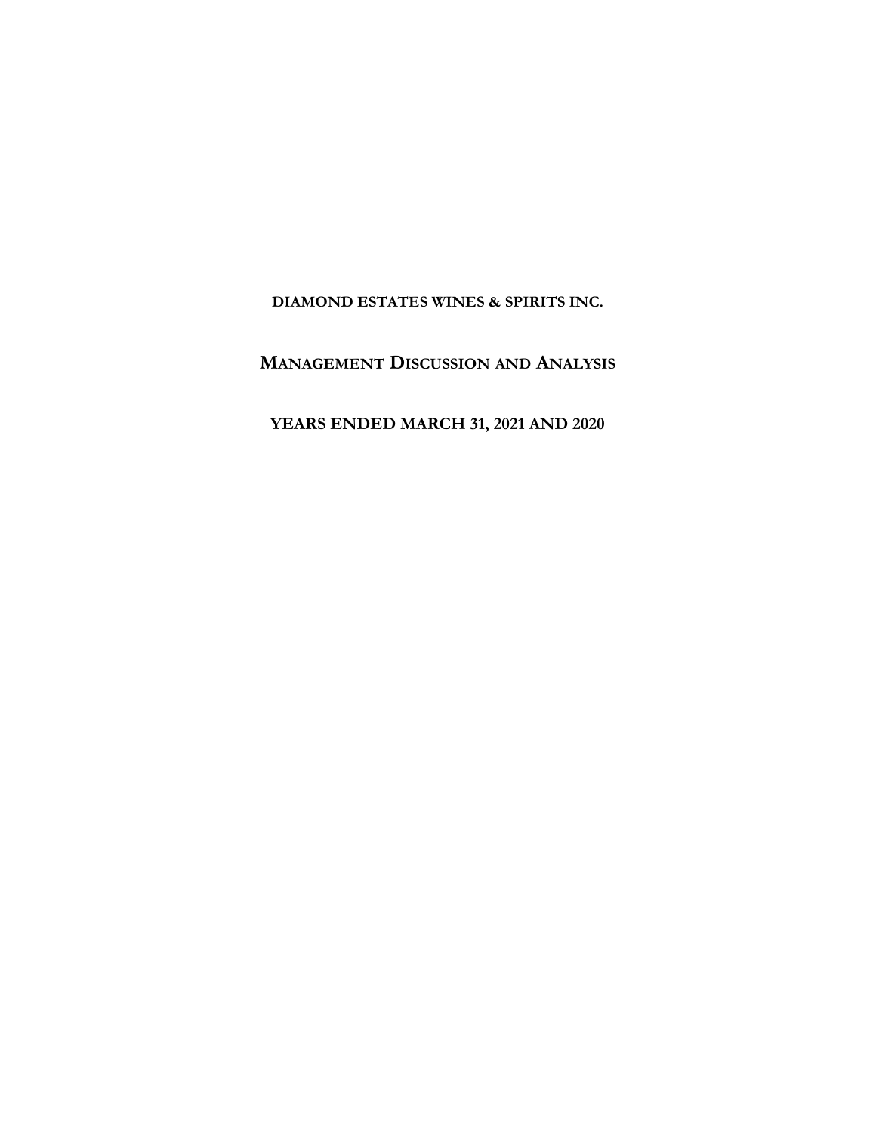**DIAMOND ESTATES WINES & SPIRITS INC.**

**MANAGEMENT DISCUSSION AND ANALYSIS**

**YEARS ENDED MARCH 31, 2021 AND 2020**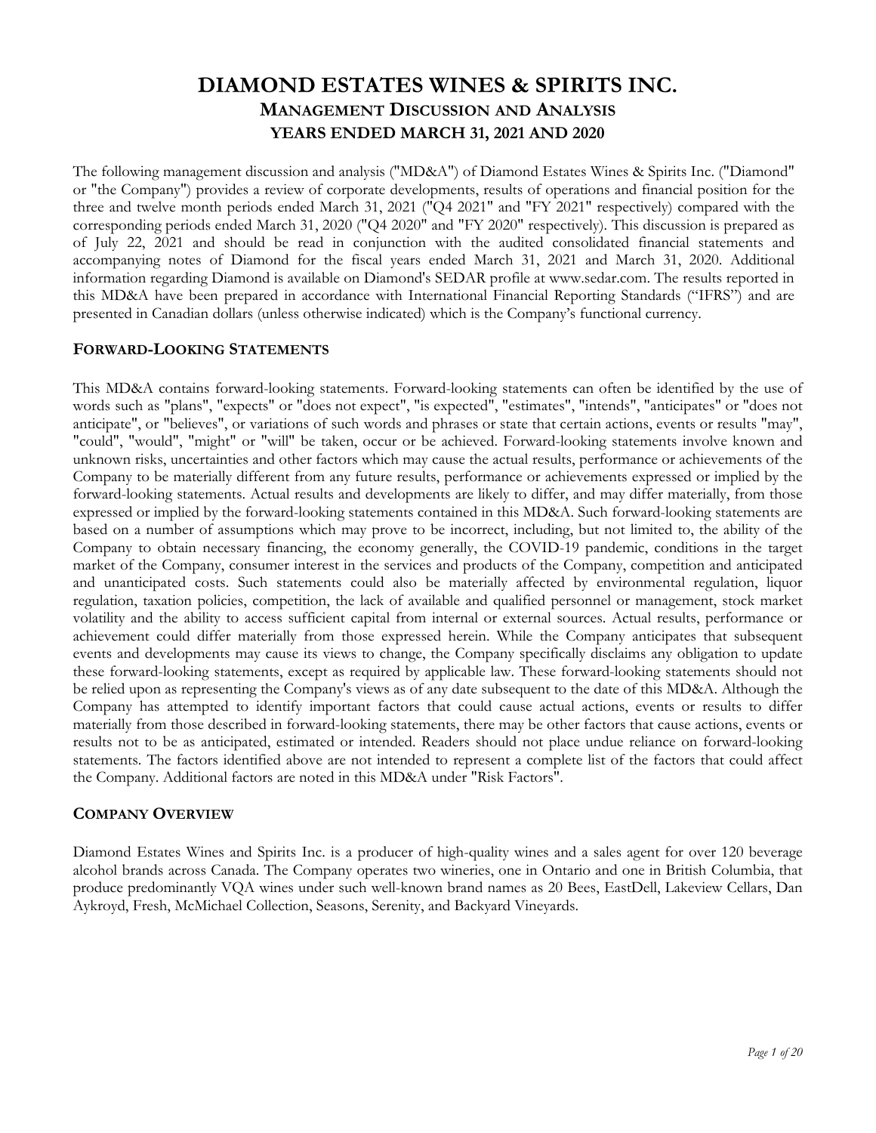The following management discussion and analysis ("MD&A") of Diamond Estates Wines & Spirits Inc. ("Diamond" or "the Company") provides a review of corporate developments, results of operations and financial position for the three and twelve month periods ended March 31, 2021 ("Q4 2021" and "FY 2021" respectively) compared with the corresponding periods ended March 31, 2020 ("Q4 2020" and "FY 2020" respectively). This discussion is prepared as of July 22, 2021 and should be read in conjunction with the audited consolidated financial statements and accompanying notes of Diamond for the fiscal years ended March 31, 2021 and March 31, 2020. Additional information regarding Diamond is available on Diamond's SEDAR profile at www.sedar.com. The results reported in this MD&A have been prepared in accordance with International Financial Reporting Standards ("IFRS") and are presented in Canadian dollars (unless otherwise indicated) which is the Company's functional currency.

## **FORWARD-LOOKING STATEMENTS**

This MD&A contains forward-looking statements. Forward-looking statements can often be identified by the use of words such as "plans", "expects" or "does not expect", "is expected", "estimates", "intends", "anticipates" or "does not anticipate", or "believes", or variations of such words and phrases or state that certain actions, events or results "may", "could", "would", "might" or "will" be taken, occur or be achieved. Forward-looking statements involve known and unknown risks, uncertainties and other factors which may cause the actual results, performance or achievements of the Company to be materially different from any future results, performance or achievements expressed or implied by the forward-looking statements. Actual results and developments are likely to differ, and may differ materially, from those expressed or implied by the forward-looking statements contained in this MD&A. Such forward-looking statements are based on a number of assumptions which may prove to be incorrect, including, but not limited to, the ability of the Company to obtain necessary financing, the economy generally, the COVID-19 pandemic, conditions in the target market of the Company, consumer interest in the services and products of the Company, competition and anticipated and unanticipated costs. Such statements could also be materially affected by environmental regulation, liquor regulation, taxation policies, competition, the lack of available and qualified personnel or management, stock market volatility and the ability to access sufficient capital from internal or external sources. Actual results, performance or achievement could differ materially from those expressed herein. While the Company anticipates that subsequent events and developments may cause its views to change, the Company specifically disclaims any obligation to update these forward-looking statements, except as required by applicable law. These forward-looking statements should not be relied upon as representing the Company's views as of any date subsequent to the date of this MD&A. Although the Company has attempted to identify important factors that could cause actual actions, events or results to differ materially from those described in forward-looking statements, there may be other factors that cause actions, events or results not to be as anticipated, estimated or intended. Readers should not place undue reliance on forward-looking statements. The factors identified above are not intended to represent a complete list of the factors that could affect the Company. Additional factors are noted in this MD&A under "Risk Factors".

## **COMPANY OVERVIEW**

Diamond Estates Wines and Spirits Inc. is a producer of high-quality wines and a sales agent for over 120 beverage alcohol brands across Canada. The Company operates two wineries, one in Ontario and one in British Columbia, that produce predominantly VQA wines under such well-known brand names as 20 Bees, EastDell, Lakeview Cellars, Dan Aykroyd, Fresh, McMichael Collection, Seasons, Serenity, and Backyard Vineyards.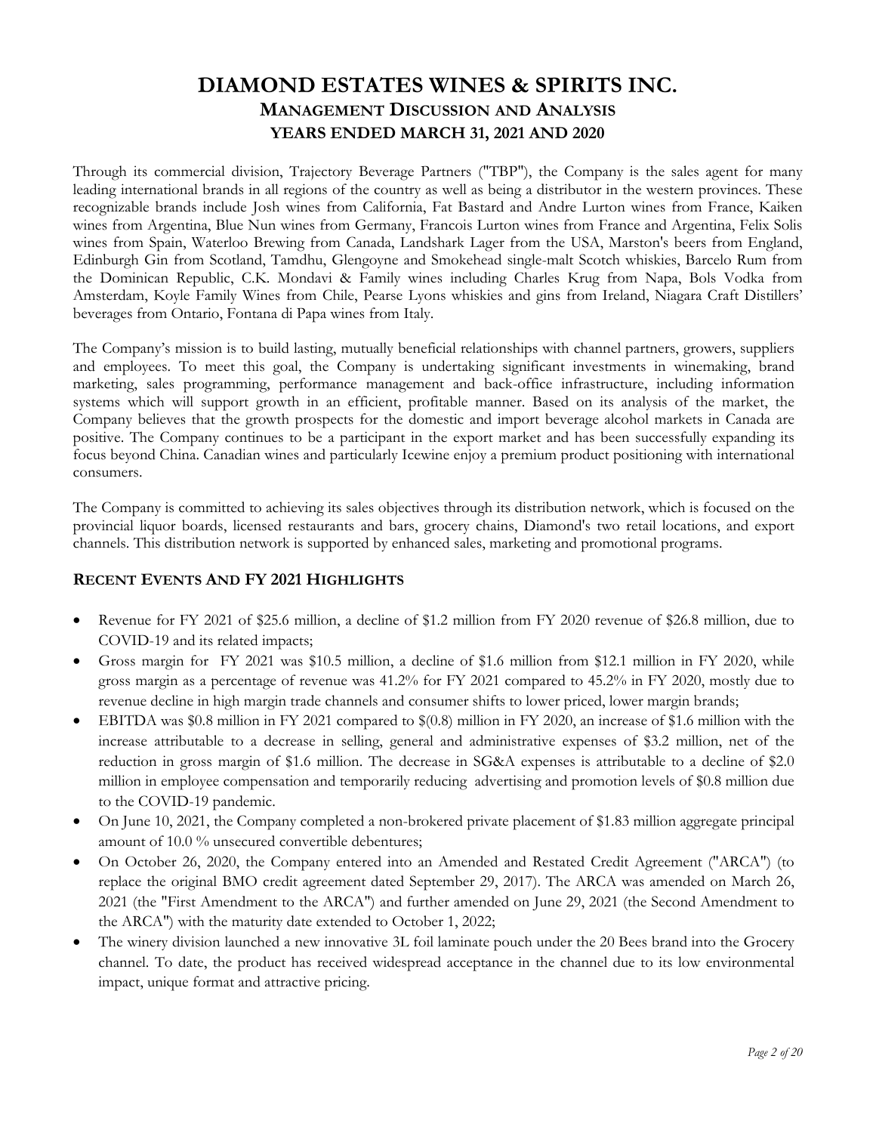Through its commercial division, Trajectory Beverage Partners ("TBP"), the Company is the sales agent for many leading international brands in all regions of the country as well as being a distributor in the western provinces. These recognizable brands include Josh wines from California, Fat Bastard and Andre Lurton wines from France, Kaiken wines from Argentina, Blue Nun wines from Germany, Francois Lurton wines from France and Argentina, Felix Solis wines from Spain, Waterloo Brewing from Canada, Landshark Lager from the USA, Marston's beers from England, Edinburgh Gin from Scotland, Tamdhu, Glengoyne and Smokehead single-malt Scotch whiskies, Barcelo Rum from the Dominican Republic, C.K. Mondavi & Family wines including Charles Krug from Napa, Bols Vodka from Amsterdam, Koyle Family Wines from Chile, Pearse Lyons whiskies and gins from Ireland, Niagara Craft Distillers' beverages from Ontario, Fontana di Papa wines from Italy.

The Company's mission is to build lasting, mutually beneficial relationships with channel partners, growers, suppliers and employees. To meet this goal, the Company is undertaking significant investments in winemaking, brand marketing, sales programming, performance management and back-office infrastructure, including information systems which will support growth in an efficient, profitable manner. Based on its analysis of the market, the Company believes that the growth prospects for the domestic and import beverage alcohol markets in Canada are positive. The Company continues to be a participant in the export market and has been successfully expanding its focus beyond China. Canadian wines and particularly Icewine enjoy a premium product positioning with international consumers.

The Company is committed to achieving its sales objectives through its distribution network, which is focused on the provincial liquor boards, licensed restaurants and bars, grocery chains, Diamond's two retail locations, and export channels. This distribution network is supported by enhanced sales, marketing and promotional programs.

## **RECENT EVENTS AND FY 2021 HIGHLIGHTS**

- Revenue for FY 2021 of \$25.6 million, a decline of \$1.2 million from FY 2020 revenue of \$26.8 million, due to COVID-19 and its related impacts;
- Gross margin for FY 2021 was \$10.5 million, a decline of \$1.6 million from \$12.1 million in FY 2020, while gross margin as a percentage of revenue was 41.2% for FY 2021 compared to 45.2% in FY 2020, mostly due to revenue decline in high margin trade channels and consumer shifts to lower priced, lower margin brands;
- EBITDA was \$0.8 million in FY 2021 compared to \$(0.8) million in FY 2020, an increase of \$1.6 million with the increase attributable to a decrease in selling, general and administrative expenses of \$3.2 million, net of the reduction in gross margin of \$1.6 million. The decrease in SG&A expenses is attributable to a decline of \$2.0 million in employee compensation and temporarily reducing advertising and promotion levels of \$0.8 million due to the COVID-19 pandemic.
- On June 10, 2021, the Company completed a non-brokered private placement of \$1.83 million aggregate principal amount of 10.0 % unsecured convertible debentures;
- On October 26, 2020, the Company entered into an Amended and Restated Credit Agreement ("ARCA") (to replace the original BMO credit agreement dated September 29, 2017). The ARCA was amended on March 26, 2021 (the "First Amendment to the ARCA") and further amended on June 29, 2021 (the Second Amendment to the ARCA") with the maturity date extended to October 1, 2022;
- The winery division launched a new innovative 3L foil laminate pouch under the 20 Bees brand into the Grocery channel. To date, the product has received widespread acceptance in the channel due to its low environmental impact, unique format and attractive pricing.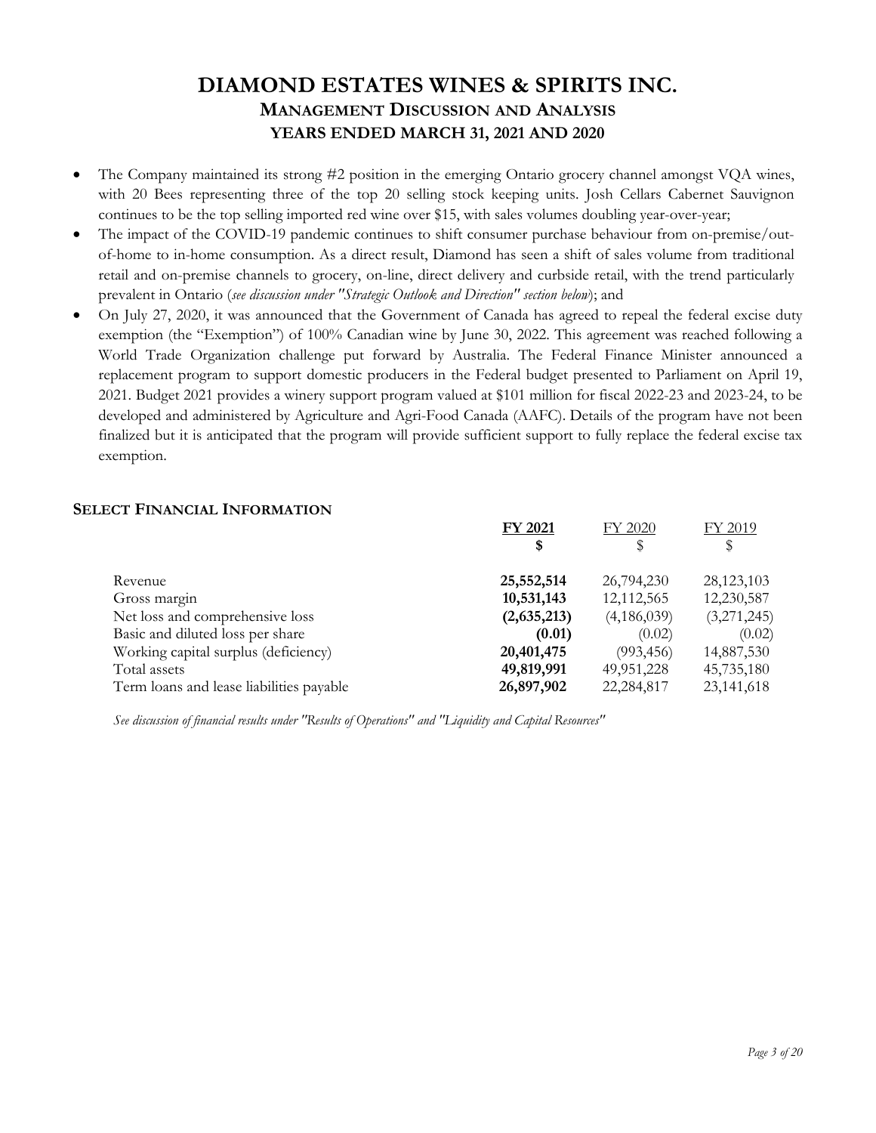- The Company maintained its strong #2 position in the emerging Ontario grocery channel amongst VQA wines, with 20 Bees representing three of the top 20 selling stock keeping units. Josh Cellars Cabernet Sauvignon continues to be the top selling imported red wine over \$15, with sales volumes doubling year-over-year;
- The impact of the COVID-19 pandemic continues to shift consumer purchase behaviour from on-premise/outof-home to in-home consumption. As a direct result, Diamond has seen a shift of sales volume from traditional retail and on-premise channels to grocery, on-line, direct delivery and curbside retail, with the trend particularly prevalent in Ontario (*see discussion under "Strategic Outlook and Direction" section below*); and
- On July 27, 2020, it was announced that the Government of Canada has agreed to repeal the federal excise duty exemption (the "Exemption") of 100% Canadian wine by June 30, 2022. This agreement was reached following a World Trade Organization challenge put forward by Australia. The Federal Finance Minister announced a replacement program to support domestic producers in the Federal budget presented to Parliament on April 19, 2021. Budget 2021 provides a winery support program valued at \$101 million for fiscal 2022-23 and 2023-24, to be developed and administered by Agriculture and Agri-Food Canada (AAFC). Details of the program have not been finalized but it is anticipated that the program will provide sufficient support to fully replace the federal excise tax exemption.

## **SELECT FINANCIAL INFORMATION**

|                                          | FY 2021     | FY 2020      | FY 2019      |
|------------------------------------------|-------------|--------------|--------------|
|                                          | \$          |              | S            |
| Revenue                                  | 25,552,514  | 26,794,230   | 28,123,103   |
| Gross margin                             | 10,531,143  | 12,112,565   | 12,230,587   |
| Net loss and comprehensive loss          | (2,635,213) | (4,186,039)  | (3,271,245)  |
| Basic and diluted loss per share         | (0.01)      | (0.02)       | (0.02)       |
| Working capital surplus (deficiency)     | 20,401,475  | (993, 456)   | 14,887,530   |
| Total assets                             | 49,819,991  | 49, 951, 228 | 45,735,180   |
| Term loans and lease liabilities payable | 26,897,902  | 22,284,817   | 23, 141, 618 |

*See discussion of financial results under "Results of Operations" and "Liquidity and Capital Resources"*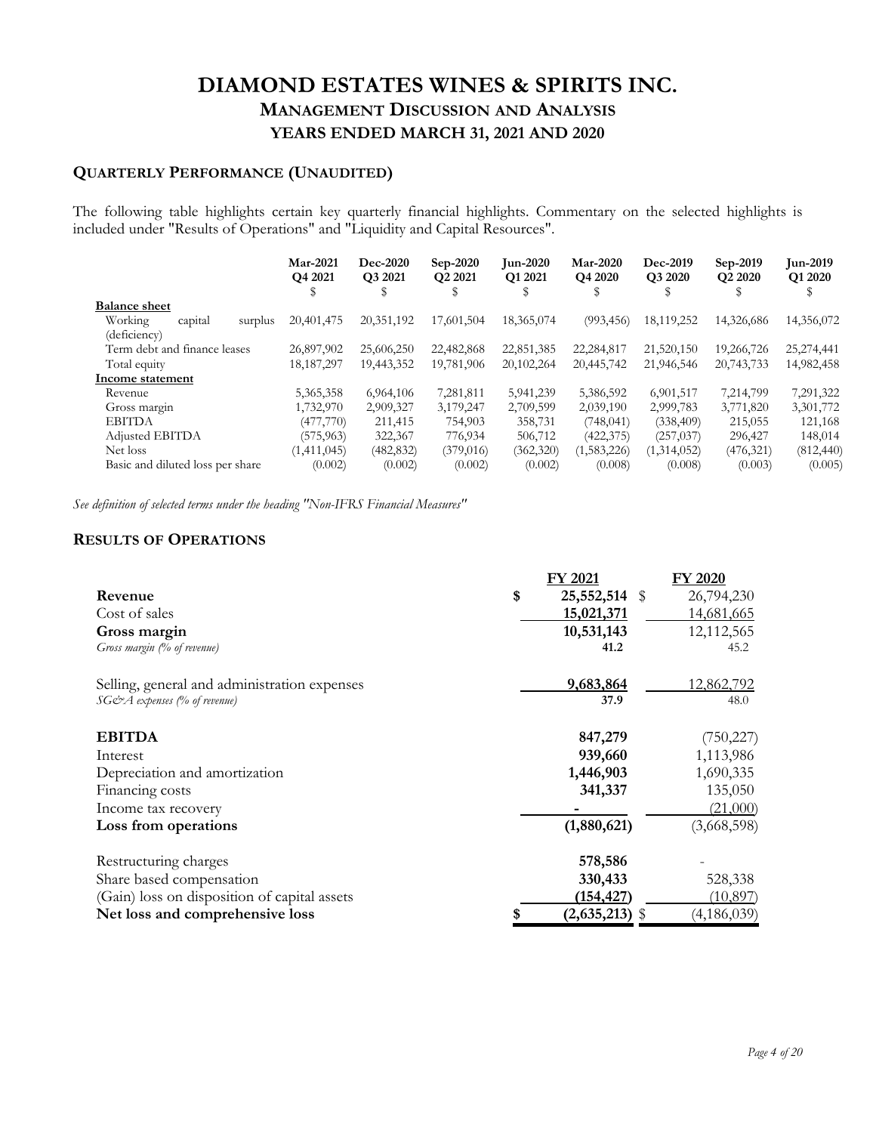## **QUARTERLY PERFORMANCE (UNAUDITED)**

The following table highlights certain key quarterly financial highlights. Commentary on the selected highlights is included under "Results of Operations" and "Liquidity and Capital Resources".

|                                  | Mar-2021<br>Q4 2021<br>S | <b>Dec-2020</b><br>Q3 2021 | Sep-2020<br>Q2 2021<br>S | <b>Jun-2020</b><br>Q1 2021 | <b>Mar-2020</b><br>Q4 2020 | Dec-2019<br>Q3 2020 | Sep-2019<br>Q <sub>2</sub> 20 <sub>20</sub> | <b>Jun-2019</b><br>Q1 2020 |
|----------------------------------|--------------------------|----------------------------|--------------------------|----------------------------|----------------------------|---------------------|---------------------------------------------|----------------------------|
| <b>Balance sheet</b>             |                          |                            |                          |                            |                            |                     |                                             |                            |
| Working<br>capital<br>surplus    | 20,401,475               | 20,351,192                 | 17,601,504               | 18,365,074                 | (993, 456)                 | 18,119,252          | 14,326,686                                  | 14,356,072                 |
| (deficiency)                     |                          |                            |                          |                            |                            |                     |                                             |                            |
| Term debt and finance leases     | 26,897,902               | 25,606,250                 | 22,482,868               | 22,851,385                 | 22,284,817                 | 21,520,150          | 19,266,726                                  | 25,274,441                 |
| Total equity                     | 18, 187, 297             | 19,443,352                 | 19,781,906               | 20,102,264                 | 20,445,742                 | 21,946,546          | 20,743,733                                  | 14,982,458                 |
| Income statement                 |                          |                            |                          |                            |                            |                     |                                             |                            |
| Revenue                          | 5,365,358                | 6,964,106                  | 7,281,811                | 5,941,239                  | 5,386,592                  | 6,901,517           | 7,214,799                                   | 7,291,322                  |
| Gross margin                     | 1,732,970                | 2,909,327                  | 3,179,247                | 2,709,599                  | 2,039,190                  | 2,999,783           | 3,771,820                                   | 3,301,772                  |
| <b>EBITDA</b>                    | (477,770)                | 211,415                    | 754,903                  | 358,731                    | (748, 041)                 | (338, 409)          | 215,055                                     | 121,168                    |
| Adjusted EBITDA                  | (575, 963)               | 322,367                    | 776,934                  | 506,712                    | (422, 375)                 | (257, 037)          | 296,427                                     | 148,014                    |
| Net loss                         | (1,411,045)              | (482, 832)                 | (379, 016)               | (362, 320)                 | (1,583,226)                | (1,314,052)         | (476, 321)                                  | (812, 440)                 |
| Basic and diluted loss per share | (0.002)                  | (0.002)                    | (0.002)                  | (0.002)                    | (0.008)                    | (0.008)             | (0.003)                                     | (0.005)                    |
|                                  |                          |                            |                          |                            |                            |                     |                                             |                            |

*See definition of selected terms under the heading "Non-IFRS Financial Measures"* 

## **RESULTS OF OPERATIONS**

|                                              | FY 2021             | FY 2020           |
|----------------------------------------------|---------------------|-------------------|
| Revenue                                      | \$<br>25,552,514 \$ | 26,794,230        |
| Cost of sales                                | 15,021,371          | 14,681,665        |
| Gross margin                                 | 10,531,143          | 12,112,565        |
| Gross margin (% of revenue)                  | 41.2                | 45.2              |
| Selling, general and administration expenses | 9,683,864           | <u>12,862,792</u> |
| $SG\mathcal{O}A$ expenses (% of revenue)     | 37.9                | 48.0              |
| <b>EBITDA</b>                                | 847,279             | (750, 227)        |
| Interest                                     | 939,660             | 1,113,986         |
| Depreciation and amortization                | 1,446,903           | 1,690,335         |
| Financing costs                              | 341,337             | 135,050           |
| Income tax recovery                          |                     | (21,000)          |
| Loss from operations                         | (1,880,621)         | (3,668,598)       |
| Restructuring charges                        | 578,586             |                   |
| Share based compensation                     | 330,433             | 528,338           |
| (Gain) loss on disposition of capital assets | (154, 427)          | (10, 897)         |
| Net loss and comprehensive loss              | $(2,635,213)$ \$    | (4, 186, 039)     |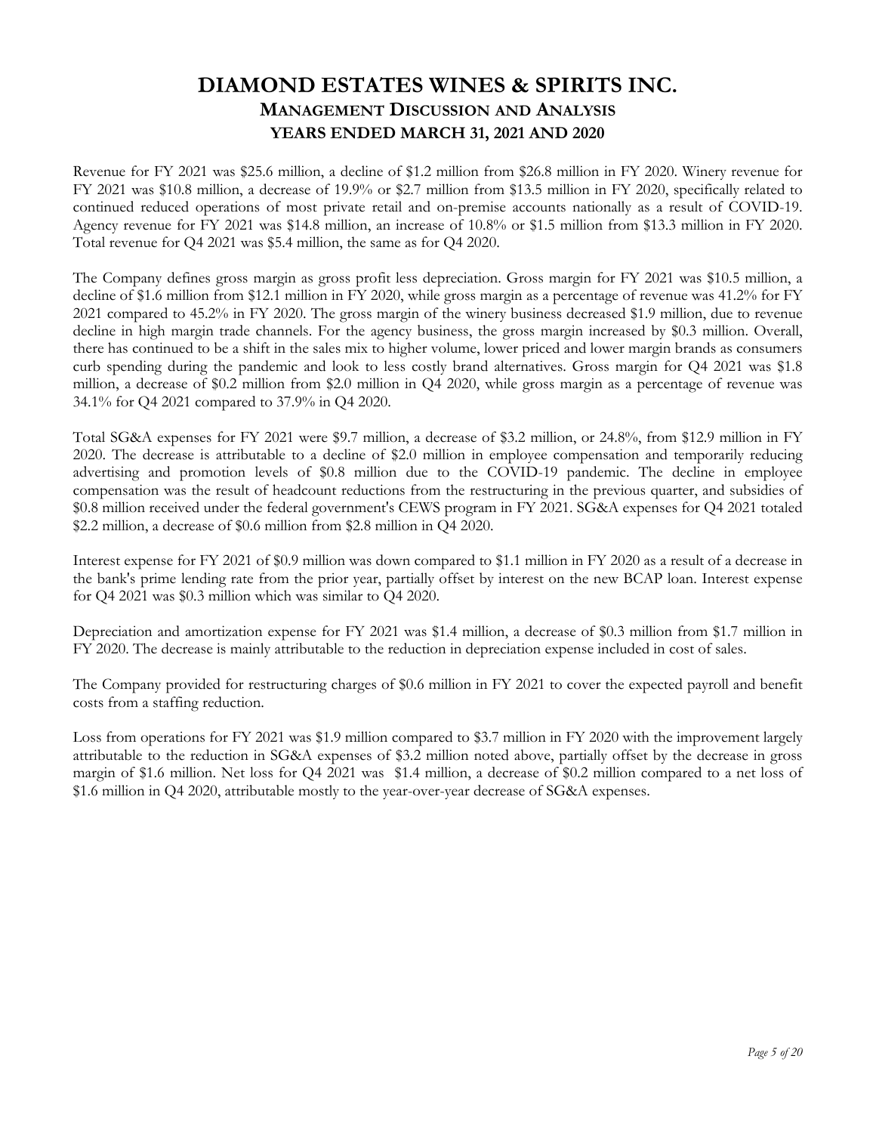Revenue for FY 2021 was \$25.6 million, a decline of \$1.2 million from \$26.8 million in FY 2020. Winery revenue for FY 2021 was \$10.8 million, a decrease of 19.9% or \$2.7 million from \$13.5 million in FY 2020, specifically related to continued reduced operations of most private retail and on-premise accounts nationally as a result of COVID-19. Agency revenue for FY 2021 was \$14.8 million, an increase of 10.8% or \$1.5 million from \$13.3 million in FY 2020. Total revenue for Q4 2021 was \$5.4 million, the same as for Q4 2020.

The Company defines gross margin as gross profit less depreciation. Gross margin for FY 2021 was \$10.5 million, a decline of \$1.6 million from \$12.1 million in FY 2020, while gross margin as a percentage of revenue was 41.2% for FY 2021 compared to 45.2% in FY 2020. The gross margin of the winery business decreased \$1.9 million, due to revenue decline in high margin trade channels. For the agency business, the gross margin increased by \$0.3 million. Overall, there has continued to be a shift in the sales mix to higher volume, lower priced and lower margin brands as consumers curb spending during the pandemic and look to less costly brand alternatives. Gross margin for Q4 2021 was \$1.8 million, a decrease of \$0.2 million from \$2.0 million in Q4 2020, while gross margin as a percentage of revenue was 34.1% for Q4 2021 compared to 37.9% in Q4 2020.

Total SG&A expenses for FY 2021 were \$9.7 million, a decrease of \$3.2 million, or 24.8%, from \$12.9 million in FY 2020. The decrease is attributable to a decline of \$2.0 million in employee compensation and temporarily reducing advertising and promotion levels of \$0.8 million due to the COVID-19 pandemic. The decline in employee compensation was the result of headcount reductions from the restructuring in the previous quarter, and subsidies of \$0.8 million received under the federal government's CEWS program in FY 2021. SG&A expenses for Q4 2021 totaled \$2.2 million, a decrease of \$0.6 million from \$2.8 million in Q4 2020.

Interest expense for FY 2021 of \$0.9 million was down compared to \$1.1 million in FY 2020 as a result of a decrease in the bank's prime lending rate from the prior year, partially offset by interest on the new BCAP loan. Interest expense for Q4 2021 was \$0.3 million which was similar to Q4 2020.

Depreciation and amortization expense for FY 2021 was \$1.4 million, a decrease of \$0.3 million from \$1.7 million in FY 2020. The decrease is mainly attributable to the reduction in depreciation expense included in cost of sales.

The Company provided for restructuring charges of \$0.6 million in FY 2021 to cover the expected payroll and benefit costs from a staffing reduction.

Loss from operations for FY 2021 was \$1.9 million compared to \$3.7 million in FY 2020 with the improvement largely attributable to the reduction in SG&A expenses of \$3.2 million noted above, partially offset by the decrease in gross margin of \$1.6 million. Net loss for Q4 2021 was \$1.4 million, a decrease of \$0.2 million compared to a net loss of \$1.6 million in Q4 2020, attributable mostly to the year-over-year decrease of SG&A expenses.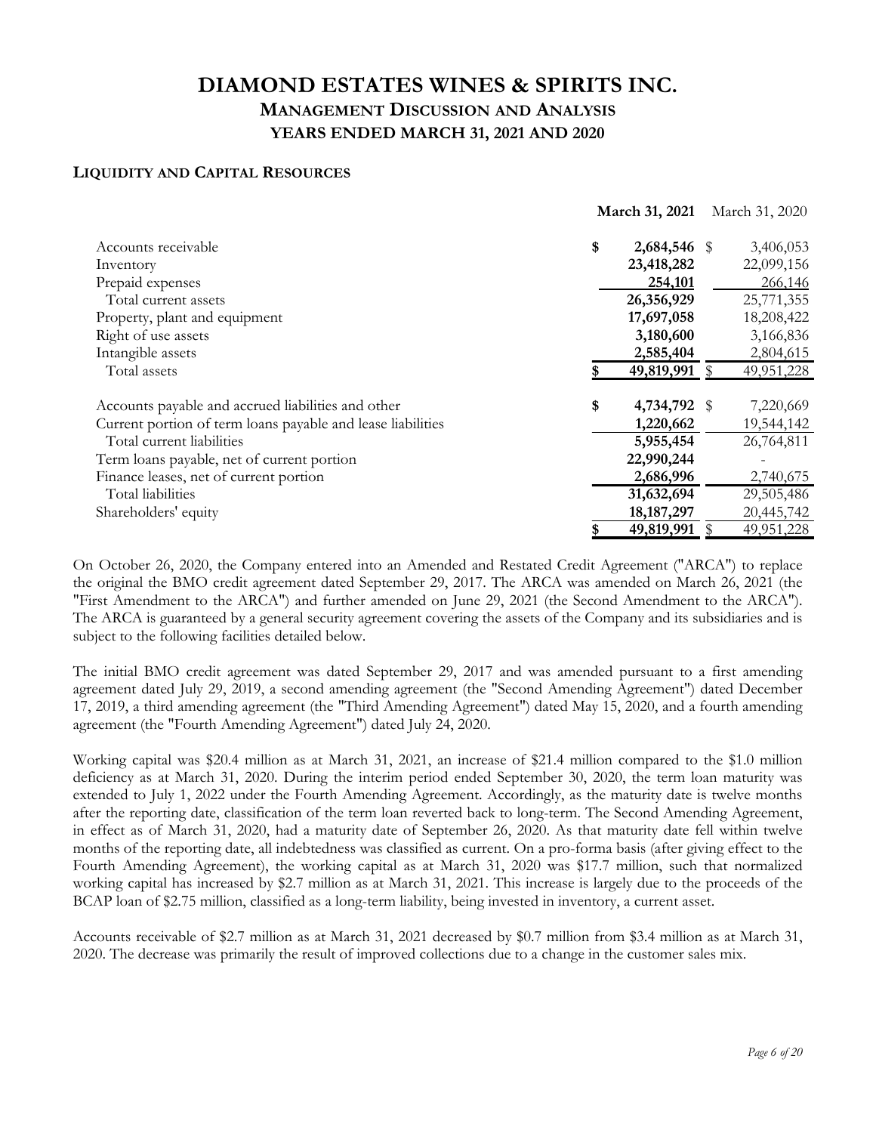## **LIQUIDITY AND CAPITAL RESOURCES**

|                                                             | March 31, 2021 |              | March 31, 2020 |            |
|-------------------------------------------------------------|----------------|--------------|----------------|------------|
| Accounts receivable                                         | \$             | 2,684,546 \$ |                | 3,406,053  |
| Inventory                                                   |                | 23,418,282   |                | 22,099,156 |
| Prepaid expenses                                            |                | 254,101      |                | 266,146    |
| Total current assets                                        |                | 26,356,929   |                | 25,771,355 |
| Property, plant and equipment                               |                | 17,697,058   |                | 18,208,422 |
| Right of use assets                                         |                | 3,180,600    |                | 3,166,836  |
| Intangible assets                                           |                | 2,585,404    |                | 2,804,615  |
| Total assets                                                |                | 49,819,991   |                | 49,951,228 |
| Accounts payable and accrued liabilities and other          | \$             | 4,734,792 \$ |                | 7,220,669  |
| Current portion of term loans payable and lease liabilities |                | 1,220,662    |                | 19,544,142 |
| Total current liabilities                                   |                | 5,955,454    |                | 26,764,811 |
| Term loans payable, net of current portion                  |                | 22,990,244   |                |            |
| Finance leases, net of current portion                      |                | 2,686,996    |                | 2,740,675  |
| Total liabilities                                           |                | 31,632,694   |                | 29,505,486 |
| Shareholders' equity                                        |                | 18, 187, 297 |                | 20,445,742 |
|                                                             | \$             | 49,819,991   |                | 49,951,228 |

On October 26, 2020, the Company entered into an Amended and Restated Credit Agreement ("ARCA") to replace the original the BMO credit agreement dated September 29, 2017. The ARCA was amended on March 26, 2021 (the "First Amendment to the ARCA") and further amended on June 29, 2021 (the Second Amendment to the ARCA"). The ARCA is guaranteed by a general security agreement covering the assets of the Company and its subsidiaries and is subject to the following facilities detailed below.

The initial BMO credit agreement was dated September 29, 2017 and was amended pursuant to a first amending agreement dated July 29, 2019, a second amending agreement (the "Second Amending Agreement") dated December 17, 2019, a third amending agreement (the "Third Amending Agreement") dated May 15, 2020, and a fourth amending agreement (the "Fourth Amending Agreement") dated July 24, 2020.

Working capital was \$20.4 million as at March 31, 2021, an increase of \$21.4 million compared to the \$1.0 million deficiency as at March 31, 2020. During the interim period ended September 30, 2020, the term loan maturity was extended to July 1, 2022 under the Fourth Amending Agreement. Accordingly, as the maturity date is twelve months after the reporting date, classification of the term loan reverted back to long-term. The Second Amending Agreement, in effect as of March 31, 2020, had a maturity date of September 26, 2020. As that maturity date fell within twelve months of the reporting date, all indebtedness was classified as current. On a pro-forma basis (after giving effect to the Fourth Amending Agreement), the working capital as at March 31, 2020 was \$17.7 million, such that normalized working capital has increased by \$2.7 million as at March 31, 2021. This increase is largely due to the proceeds of the BCAP loan of \$2.75 million, classified as a long-term liability, being invested in inventory, a current asset.

Accounts receivable of \$2.7 million as at March 31, 2021 decreased by \$0.7 million from \$3.4 million as at March 31, 2020. The decrease was primarily the result of improved collections due to a change in the customer sales mix.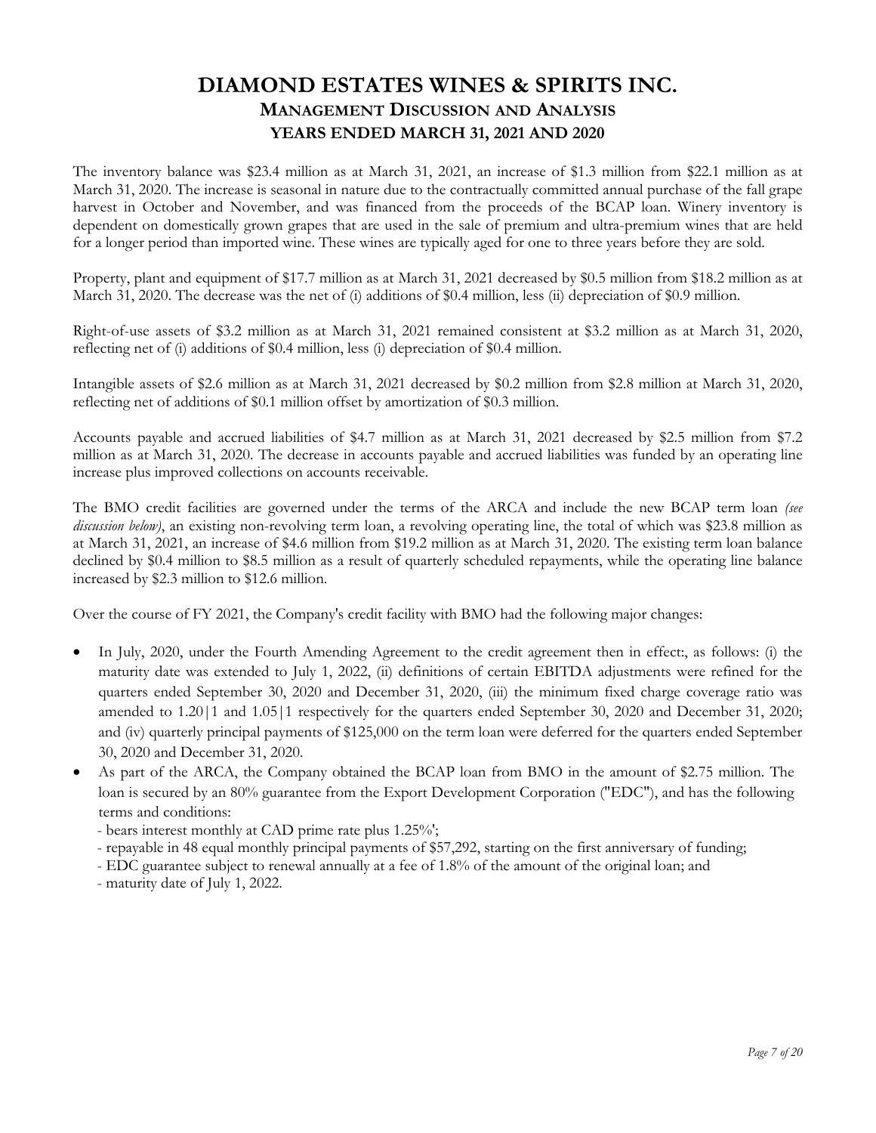The inventory balance was \$23.4 million as at March 31, 2021, an increase of \$1.3 million from \$22.1 million as at March 31, 2020. The increase is seasonal in nature due to the contractually committed annual purchase of the fall grape harvest in October and November, and was financed from the proceeds of the BCAP loan. Winery inventory is dependent on domestically grown grapes that are used in the sale of premium and ultra-premium wines that are held for a longer period than imported wine. These wines are typically aged for one to three years before they are sold.

Property, plant and equipment of \$17.7 million as at March 31, 2021 decreased by \$0.5 million from \$18.2 million as at March 31, 2020. The decrease was the net of (i) additions of \$0.4 million, less (ii) depreciation of \$0.9 million.

Right-of-use assets of \$3.2 million as at March 31, 2021 remained consistent at \$3.2 million as at March 31, 2020, reflecting net of (i) additions of \$0.4 million, less (i) depreciation of \$0.4 million.

Intangible assets of \$2.6 million as at March 31, 2021 decreased by \$0.2 million from \$2.8 million at March 31, 2020, reflecting net of additions of \$0.1 million offset by amortization of \$0.3 million.

Accounts payable and accrued liabilities of \$4.7 million as at March 31, 2021 decreased by \$2.5 million from \$7.2 million as at March 31, 2020. The decrease in accounts payable and accrued liabilities was funded by an operating line increase plus improved collections on accounts receivable.

The BMO credit facilities are governed under the terms of the ARCA and include the new BCAP term loan *(see discussion below)*, an existing non-revolving term loan, a revolving operating line, the total of which was \$23.8 million as at March 31, 2021, an increase of \$4.6 million from \$19.2 million as at March 31, 2020. The existing term loan balance declined by \$0.4 million to \$8.5 million as a result of quarterly scheduled repayments, while the operating line balance increased by \$2.3 million to \$12.6 million.

Over the course of FY 2021, the Company's credit facility with BMO had the following major changes:

- In July, 2020, under the Fourth Amending Agreement to the credit agreement then in effect:, as follows: (i) the maturity date was extended to July 1, 2022, (ii) definitions of certain EBITDA adjustments were refined for the quarters ended September 30, 2020 and December 31, 2020, (iii) the minimum fixed charge coverage ratio was amended to 1.20|1 and 1.05|1 respectively for the quarters ended September 30, 2020 and December 31, 2020; and (iv) quarterly principal payments of \$125,000 on the term loan were deferred for the quarters ended September 30, 2020 and December 31, 2020.
- As part of the ARCA, the Company obtained the BCAP loan from BMO in the amount of \$2.75 million. The loan is secured by an 80% guarantee from the Export Development Corporation ("EDC"), and has the following terms and conditions:

- bears interest monthly at CAD prime rate plus 1.25%';

- repayable in 48 equal monthly principal payments of \$57,292, starting on the first anniversary of funding;

- EDC guarantee subject to renewal annually at a fee of 1.8% of the amount of the original loan; and

- maturity date of July 1, 2022.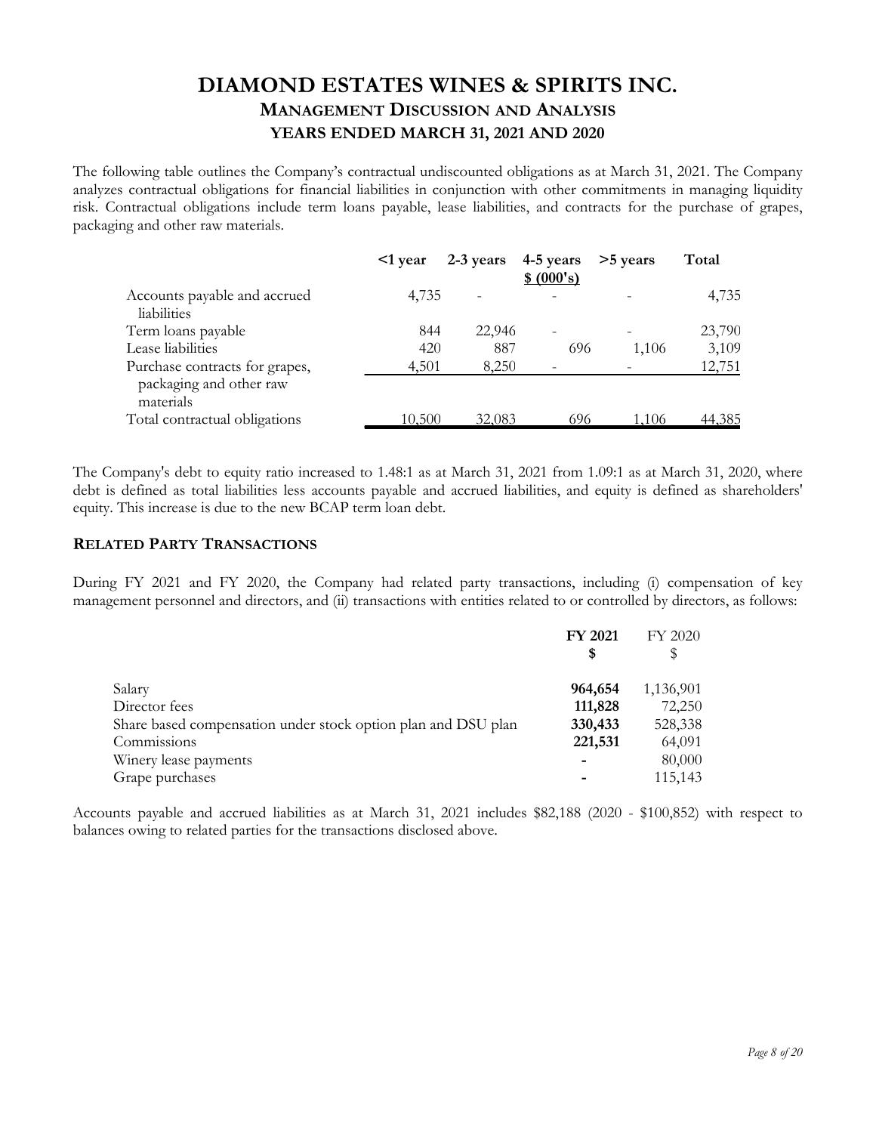The following table outlines the Company's contractual undiscounted obligations as at March 31, 2021. The Company analyzes contractual obligations for financial liabilities in conjunction with other commitments in managing liquidity risk. Contractual obligations include term loans payable, lease liabilities, and contracts for the purchase of grapes, packaging and other raw materials.

|                                                                        | $\leq 1$ year | $2-3$ years | 4-5 years<br>\$ (000's) | >5 years | Total  |
|------------------------------------------------------------------------|---------------|-------------|-------------------------|----------|--------|
| Accounts payable and accrued<br>liabilities                            | 4,735         |             |                         |          | 4,735  |
| Term loans payable                                                     | 844           | 22,946      |                         |          | 23,790 |
| Lease liabilities                                                      | 420           | 887         | 696                     | 1,106    | 3,109  |
| Purchase contracts for grapes,<br>packaging and other raw<br>materials | 4,501         | 8,250       |                         |          | 12,751 |
| Total contractual obligations                                          | 10,500        | 32,083      | 696                     | 1.106    | 44,385 |

The Company's debt to equity ratio increased to 1.48:1 as at March 31, 2021 from 1.09:1 as at March 31, 2020, where debt is defined as total liabilities less accounts payable and accrued liabilities, and equity is defined as shareholders' equity. This increase is due to the new BCAP term loan debt.

### **RELATED PARTY TRANSACTIONS**

During FY 2021 and FY 2020, the Company had related party transactions, including (i) compensation of key management personnel and directors, and (ii) transactions with entities related to or controlled by directors, as follows:

| <b>FY 2021</b> | FY 2020   |
|----------------|-----------|
| S              |           |
| 964,654        | 1,136,901 |
| 111,828        | 72,250    |
| 330,433        | 528,338   |
| 221,531        | 64,091    |
|                | 80,000    |
|                | 115,143   |
|                |           |

Accounts payable and accrued liabilities as at March 31, 2021 includes \$82,188 (2020 - \$100,852) with respect to balances owing to related parties for the transactions disclosed above.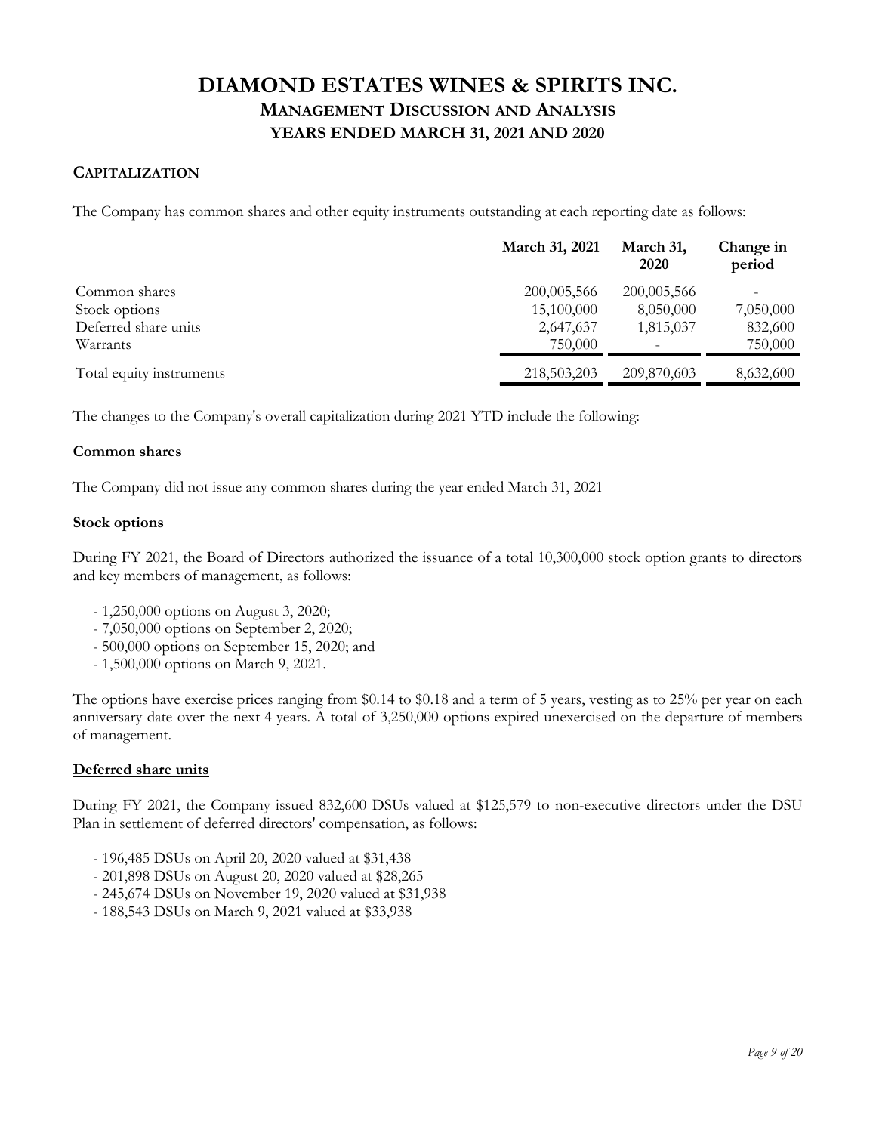## **CAPITALIZATION**

The Company has common shares and other equity instruments outstanding at each reporting date as follows:

|                          | March 31, 2021 | March 31,<br>2020 | Change in<br>period |
|--------------------------|----------------|-------------------|---------------------|
| Common shares            | 200,005,566    | 200,005,566       | -                   |
| Stock options            | 15,100,000     | 8,050,000         | 7,050,000           |
| Deferred share units     | 2,647,637      | 1,815,037         | 832,600             |
| Warrants                 | 750,000        |                   | 750,000             |
| Total equity instruments | 218,503,203    | 209,870,603       | 8,632,600           |

The changes to the Company's overall capitalization during 2021 YTD include the following:

#### **Common shares**

The Company did not issue any common shares during the year ended March 31, 2021

#### **Stock options**

During FY 2021, the Board of Directors authorized the issuance of a total 10,300,000 stock option grants to directors and key members of management, as follows:

- 1,250,000 options on August 3, 2020;
- 7,050,000 options on September 2, 2020;
- 500,000 options on September 15, 2020; and
- 1,500,000 options on March 9, 2021.

The options have exercise prices ranging from \$0.14 to \$0.18 and a term of 5 years, vesting as to 25% per year on each anniversary date over the next 4 years. A total of 3,250,000 options expired unexercised on the departure of members of management.

#### **Deferred share units**

During FY 2021, the Company issued 832,600 DSUs valued at \$125,579 to non-executive directors under the DSU Plan in settlement of deferred directors' compensation, as follows:

- 196,485 DSUs on April 20, 2020 valued at \$31,438
- 201,898 DSUs on August 20, 2020 valued at \$28,265
- 245,674 DSUs on November 19, 2020 valued at \$31,938
- 188,543 DSUs on March 9, 2021 valued at \$33,938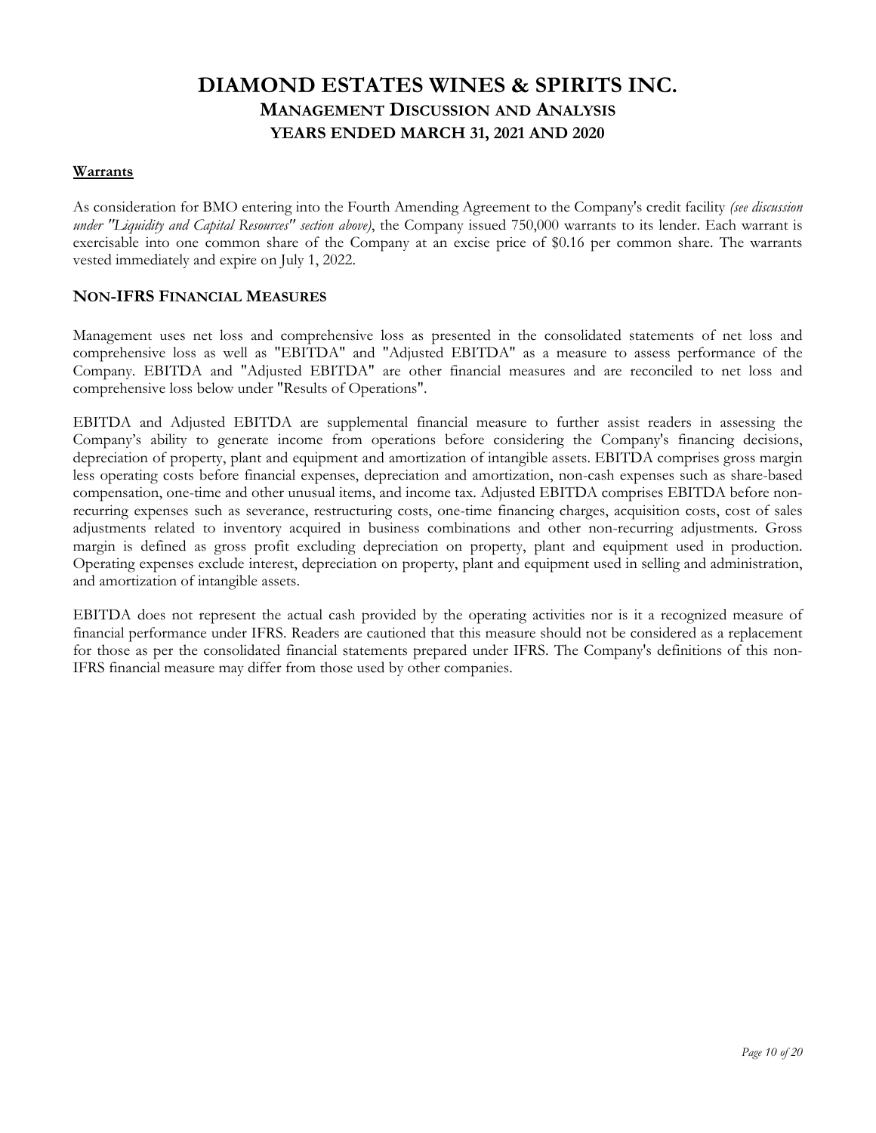### **Warrants**

As consideration for BMO entering into the Fourth Amending Agreement to the Company's credit facility *(see discussion under "Liquidity and Capital Resources" section above)*, the Company issued 750,000 warrants to its lender. Each warrant is exercisable into one common share of the Company at an excise price of \$0.16 per common share. The warrants vested immediately and expire on July 1, 2022.

## **NON-IFRS FINANCIAL MEASURES**

Management uses net loss and comprehensive loss as presented in the consolidated statements of net loss and comprehensive loss as well as "EBITDA" and "Adjusted EBITDA" as a measure to assess performance of the Company. EBITDA and "Adjusted EBITDA" are other financial measures and are reconciled to net loss and comprehensive loss below under "Results of Operations".

EBITDA and Adjusted EBITDA are supplemental financial measure to further assist readers in assessing the Company's ability to generate income from operations before considering the Company's financing decisions, depreciation of property, plant and equipment and amortization of intangible assets. EBITDA comprises gross margin less operating costs before financial expenses, depreciation and amortization, non-cash expenses such as share-based compensation, one-time and other unusual items, and income tax. Adjusted EBITDA comprises EBITDA before nonrecurring expenses such as severance, restructuring costs, one-time financing charges, acquisition costs, cost of sales adjustments related to inventory acquired in business combinations and other non-recurring adjustments. Gross margin is defined as gross profit excluding depreciation on property, plant and equipment used in production. Operating expenses exclude interest, depreciation on property, plant and equipment used in selling and administration, and amortization of intangible assets.

EBITDA does not represent the actual cash provided by the operating activities nor is it a recognized measure of financial performance under IFRS. Readers are cautioned that this measure should not be considered as a replacement for those as per the consolidated financial statements prepared under IFRS. The Company's definitions of this non-IFRS financial measure may differ from those used by other companies.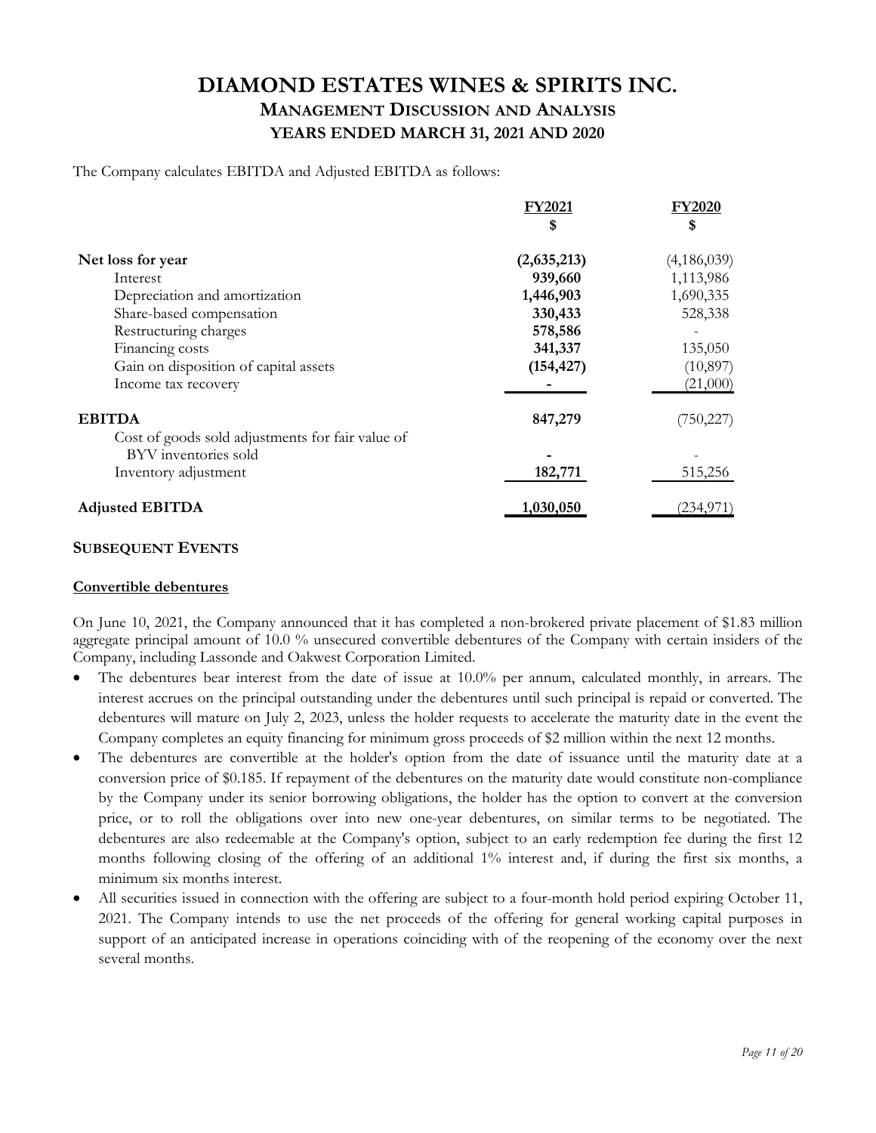The Company calculates EBITDA and Adjusted EBITDA as follows:

|                                                  | <b>FY2021</b> | <b>FY2020</b> |
|--------------------------------------------------|---------------|---------------|
|                                                  | \$            | \$            |
| Net loss for year                                | (2,635,213)   | (4,186,039)   |
| Interest                                         | 939,660       | 1,113,986     |
| Depreciation and amortization                    | 1,446,903     | 1,690,335     |
| Share-based compensation                         | 330,433       | 528,338       |
| Restructuring charges                            | 578,586       |               |
| Financing costs                                  | 341,337       | 135,050       |
| Gain on disposition of capital assets            | (154, 427)    | (10, 897)     |
| Income tax recovery                              |               | (21,000)      |
| <b>EBITDA</b>                                    | 847,279       | (750, 227)    |
| Cost of goods sold adjustments for fair value of |               |               |
| BYV inventories sold                             |               |               |
| Inventory adjustment                             | 182,771       | 515,256       |
| <b>Adjusted EBITDA</b>                           | 1,030,050     | (234, 971)    |

#### **SUBSEQUENT EVENTS**

#### **Convertible debentures**

On June 10, 2021, the Company announced that it has completed a non-brokered private placement of \$1.83 million aggregate principal amount of 10.0 % unsecured convertible debentures of the Company with certain insiders of the Company, including Lassonde and Oakwest Corporation Limited.

- The debentures bear interest from the date of issue at 10.0% per annum, calculated monthly, in arrears. The interest accrues on the principal outstanding under the debentures until such principal is repaid or converted. The debentures will mature on July 2, 2023, unless the holder requests to accelerate the maturity date in the event the Company completes an equity financing for minimum gross proceeds of \$2 million within the next 12 months.
- The debentures are convertible at the holder's option from the date of issuance until the maturity date at a conversion price of \$0.185. If repayment of the debentures on the maturity date would constitute non-compliance by the Company under its senior borrowing obligations, the holder has the option to convert at the conversion price, or to roll the obligations over into new one-year debentures, on similar terms to be negotiated. The debentures are also redeemable at the Company's option, subject to an early redemption fee during the first 12 months following closing of the offering of an additional 1% interest and, if during the first six months, a minimum six months interest.
- All securities issued in connection with the offering are subject to a four-month hold period expiring October 11, 2021. The Company intends to use the net proceeds of the offering for general working capital purposes in support of an anticipated increase in operations coinciding with of the reopening of the economy over the next several months.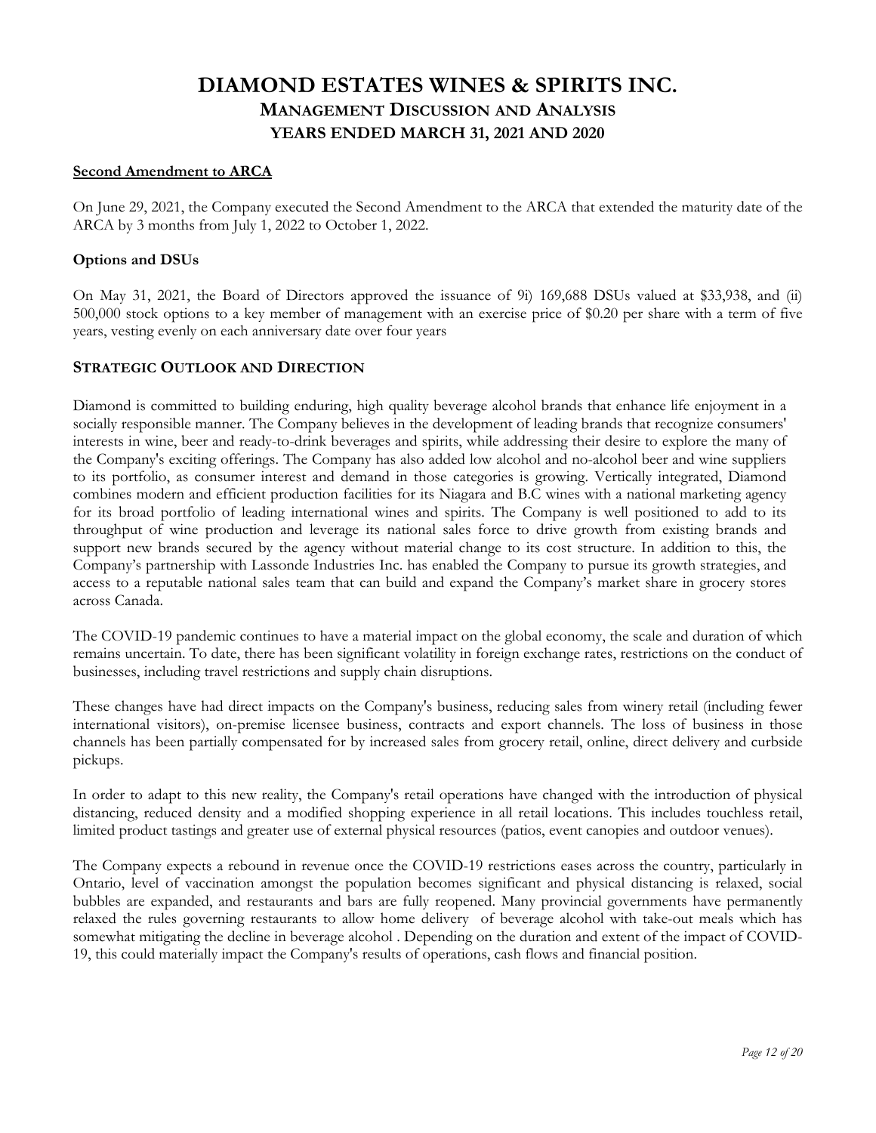#### **Second Amendment to ARCA**

On June 29, 2021, the Company executed the Second Amendment to the ARCA that extended the maturity date of the ARCA by 3 months from July 1, 2022 to October 1, 2022.

#### **Options and DSUs**

On May 31, 2021, the Board of Directors approved the issuance of 9i) 169,688 DSUs valued at \$33,938, and (ii) 500,000 stock options to a key member of management with an exercise price of \$0.20 per share with a term of five years, vesting evenly on each anniversary date over four years

#### **STRATEGIC OUTLOOK AND DIRECTION**

Diamond is committed to building enduring, high quality beverage alcohol brands that enhance life enjoyment in a socially responsible manner. The Company believes in the development of leading brands that recognize consumers' interests in wine, beer and ready-to-drink beverages and spirits, while addressing their desire to explore the many of the Company's exciting offerings. The Company has also added low alcohol and no-alcohol beer and wine suppliers to its portfolio, as consumer interest and demand in those categories is growing. Vertically integrated, Diamond combines modern and efficient production facilities for its Niagara and B.C wines with a national marketing agency for its broad portfolio of leading international wines and spirits. The Company is well positioned to add to its throughput of wine production and leverage its national sales force to drive growth from existing brands and support new brands secured by the agency without material change to its cost structure. In addition to this, the Company's partnership with Lassonde Industries Inc. has enabled the Company to pursue its growth strategies, and access to a reputable national sales team that can build and expand the Company's market share in grocery stores across Canada.

The COVID-19 pandemic continues to have a material impact on the global economy, the scale and duration of which remains uncertain. To date, there has been significant volatility in foreign exchange rates, restrictions on the conduct of businesses, including travel restrictions and supply chain disruptions.

These changes have had direct impacts on the Company's business, reducing sales from winery retail (including fewer international visitors), on-premise licensee business, contracts and export channels. The loss of business in those channels has been partially compensated for by increased sales from grocery retail, online, direct delivery and curbside pickups.

In order to adapt to this new reality, the Company's retail operations have changed with the introduction of physical distancing, reduced density and a modified shopping experience in all retail locations. This includes touchless retail, limited product tastings and greater use of external physical resources (patios, event canopies and outdoor venues).

The Company expects a rebound in revenue once the COVID-19 restrictions eases across the country, particularly in Ontario, level of vaccination amongst the population becomes significant and physical distancing is relaxed, social bubbles are expanded, and restaurants and bars are fully reopened. Many provincial governments have permanently relaxed the rules governing restaurants to allow home delivery of beverage alcohol with take-out meals which has somewhat mitigating the decline in beverage alcohol . Depending on the duration and extent of the impact of COVID-19, this could materially impact the Company's results of operations, cash flows and financial position.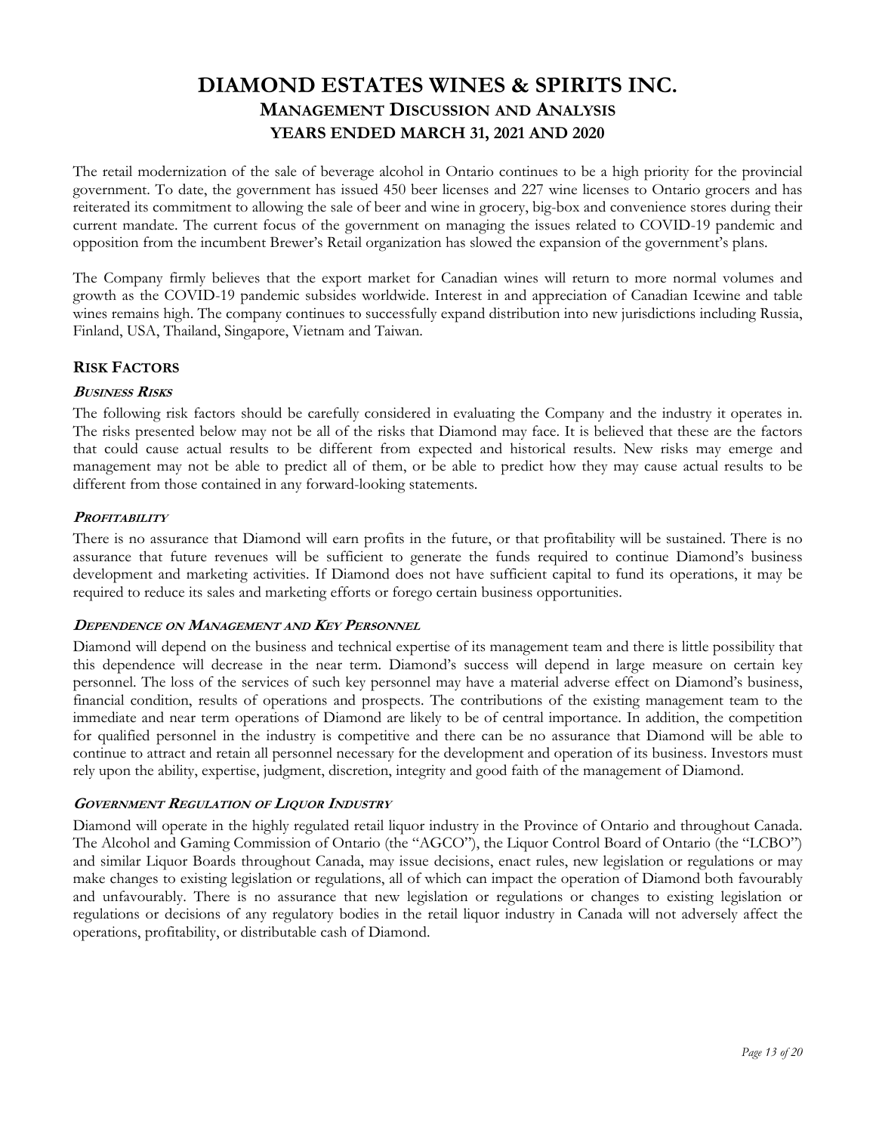The retail modernization of the sale of beverage alcohol in Ontario continues to be a high priority for the provincial government. To date, the government has issued 450 beer licenses and 227 wine licenses to Ontario grocers and has reiterated its commitment to allowing the sale of beer and wine in grocery, big-box and convenience stores during their current mandate. The current focus of the government on managing the issues related to COVID-19 pandemic and opposition from the incumbent Brewer's Retail organization has slowed the expansion of the government's plans.

The Company firmly believes that the export market for Canadian wines will return to more normal volumes and growth as the COVID-19 pandemic subsides worldwide. Interest in and appreciation of Canadian Icewine and table wines remains high. The company continues to successfully expand distribution into new jurisdictions including Russia, Finland, USA, Thailand, Singapore, Vietnam and Taiwan.

## **RISK FACTORS**

### **BUSINESS RISKS**

The following risk factors should be carefully considered in evaluating the Company and the industry it operates in. The risks presented below may not be all of the risks that Diamond may face. It is believed that these are the factors that could cause actual results to be different from expected and historical results. New risks may emerge and management may not be able to predict all of them, or be able to predict how they may cause actual results to be different from those contained in any forward-looking statements.

### **PROFITABILITY**

There is no assurance that Diamond will earn profits in the future, or that profitability will be sustained. There is no assurance that future revenues will be sufficient to generate the funds required to continue Diamond's business development and marketing activities. If Diamond does not have sufficient capital to fund its operations, it may be required to reduce its sales and marketing efforts or forego certain business opportunities.

#### **DEPENDENCE ON MANAGEMENT AND KEY PERSONNEL**

Diamond will depend on the business and technical expertise of its management team and there is little possibility that this dependence will decrease in the near term. Diamond's success will depend in large measure on certain key personnel. The loss of the services of such key personnel may have a material adverse effect on Diamond's business, financial condition, results of operations and prospects. The contributions of the existing management team to the immediate and near term operations of Diamond are likely to be of central importance. In addition, the competition for qualified personnel in the industry is competitive and there can be no assurance that Diamond will be able to continue to attract and retain all personnel necessary for the development and operation of its business. Investors must rely upon the ability, expertise, judgment, discretion, integrity and good faith of the management of Diamond.

## **GOVERNMENT REGULATION OF LIQUOR INDUSTRY**

Diamond will operate in the highly regulated retail liquor industry in the Province of Ontario and throughout Canada. The Alcohol and Gaming Commission of Ontario (the "AGCO"), the Liquor Control Board of Ontario (the "LCBO") and similar Liquor Boards throughout Canada, may issue decisions, enact rules, new legislation or regulations or may make changes to existing legislation or regulations, all of which can impact the operation of Diamond both favourably and unfavourably. There is no assurance that new legislation or regulations or changes to existing legislation or regulations or decisions of any regulatory bodies in the retail liquor industry in Canada will not adversely affect the operations, profitability, or distributable cash of Diamond.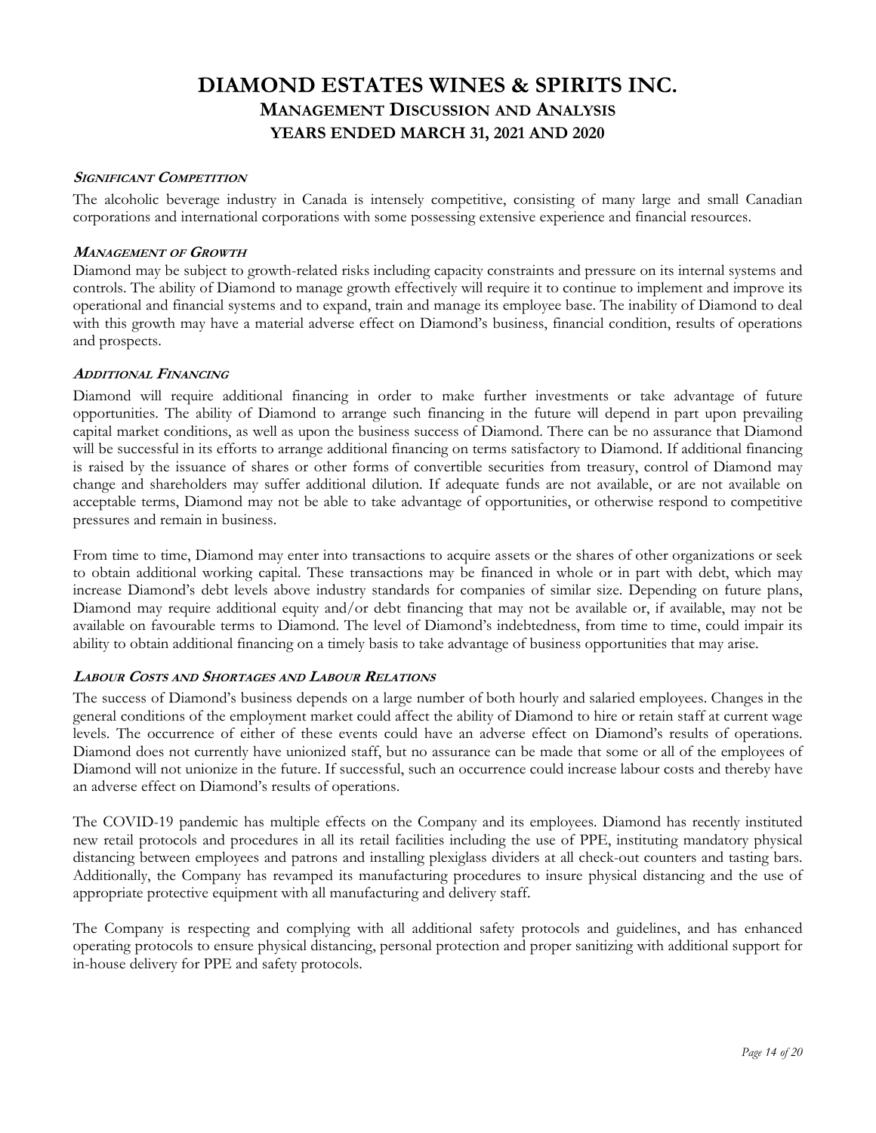#### **SIGNIFICANT COMPETITION**

The alcoholic beverage industry in Canada is intensely competitive, consisting of many large and small Canadian corporations and international corporations with some possessing extensive experience and financial resources.

### **MANAGEMENT OF GROWTH**

Diamond may be subject to growth-related risks including capacity constraints and pressure on its internal systems and controls. The ability of Diamond to manage growth effectively will require it to continue to implement and improve its operational and financial systems and to expand, train and manage its employee base. The inability of Diamond to deal with this growth may have a material adverse effect on Diamond's business, financial condition, results of operations and prospects.

### **ADDITIONAL FINANCING**

Diamond will require additional financing in order to make further investments or take advantage of future opportunities. The ability of Diamond to arrange such financing in the future will depend in part upon prevailing capital market conditions, as well as upon the business success of Diamond. There can be no assurance that Diamond will be successful in its efforts to arrange additional financing on terms satisfactory to Diamond. If additional financing is raised by the issuance of shares or other forms of convertible securities from treasury, control of Diamond may change and shareholders may suffer additional dilution. If adequate funds are not available, or are not available on acceptable terms, Diamond may not be able to take advantage of opportunities, or otherwise respond to competitive pressures and remain in business.

From time to time, Diamond may enter into transactions to acquire assets or the shares of other organizations or seek to obtain additional working capital. These transactions may be financed in whole or in part with debt, which may increase Diamond's debt levels above industry standards for companies of similar size. Depending on future plans, Diamond may require additional equity and/or debt financing that may not be available or, if available, may not be available on favourable terms to Diamond. The level of Diamond's indebtedness, from time to time, could impair its ability to obtain additional financing on a timely basis to take advantage of business opportunities that may arise.

## **LABOUR COSTS AND SHORTAGES AND LABOUR RELATIONS**

The success of Diamond's business depends on a large number of both hourly and salaried employees. Changes in the general conditions of the employment market could affect the ability of Diamond to hire or retain staff at current wage levels. The occurrence of either of these events could have an adverse effect on Diamond's results of operations. Diamond does not currently have unionized staff, but no assurance can be made that some or all of the employees of Diamond will not unionize in the future. If successful, such an occurrence could increase labour costs and thereby have an adverse effect on Diamond's results of operations.

The COVID-19 pandemic has multiple effects on the Company and its employees. Diamond has recently instituted new retail protocols and procedures in all its retail facilities including the use of PPE, instituting mandatory physical distancing between employees and patrons and installing plexiglass dividers at all check-out counters and tasting bars. Additionally, the Company has revamped its manufacturing procedures to insure physical distancing and the use of appropriate protective equipment with all manufacturing and delivery staff.

The Company is respecting and complying with all additional safety protocols and guidelines, and has enhanced operating protocols to ensure physical distancing, personal protection and proper sanitizing with additional support for in-house delivery for PPE and safety protocols.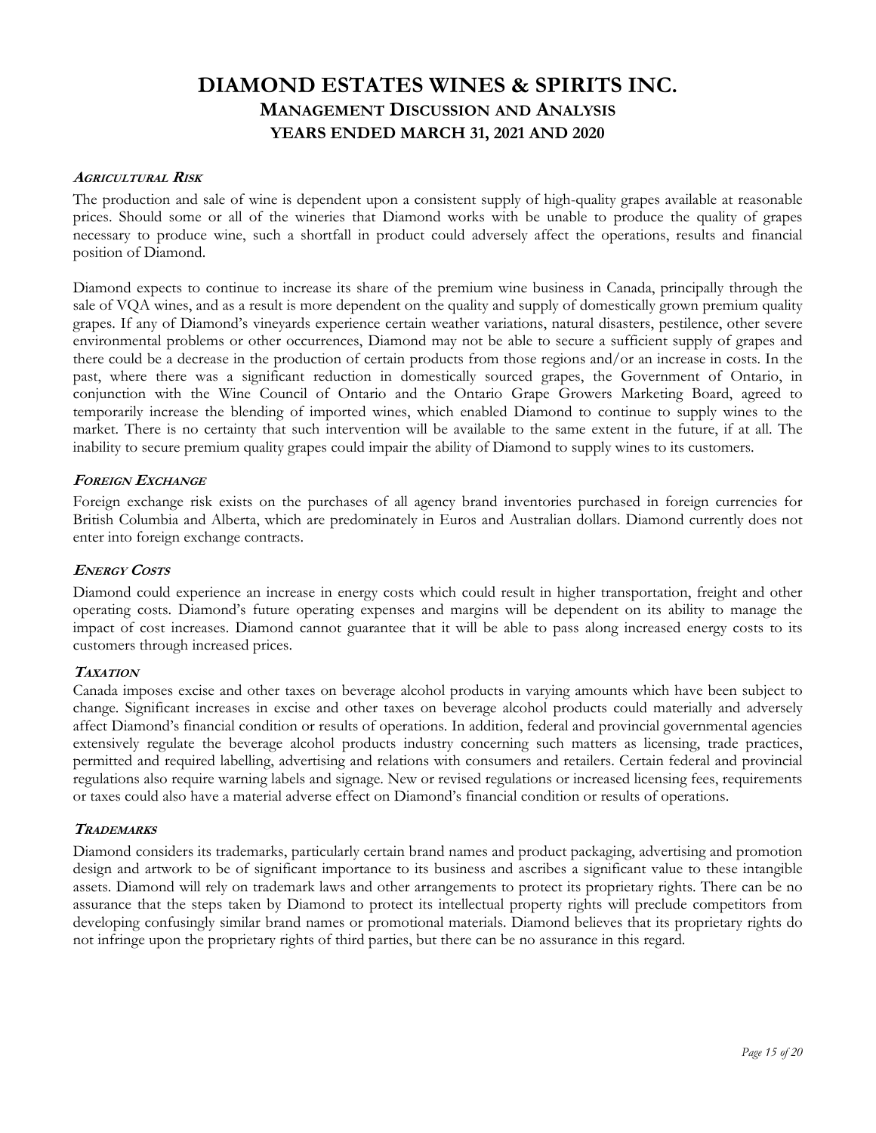#### **AGRICULTURAL RISK**

The production and sale of wine is dependent upon a consistent supply of high-quality grapes available at reasonable prices. Should some or all of the wineries that Diamond works with be unable to produce the quality of grapes necessary to produce wine, such a shortfall in product could adversely affect the operations, results and financial position of Diamond.

Diamond expects to continue to increase its share of the premium wine business in Canada, principally through the sale of VQA wines, and as a result is more dependent on the quality and supply of domestically grown premium quality grapes. If any of Diamond's vineyards experience certain weather variations, natural disasters, pestilence, other severe environmental problems or other occurrences, Diamond may not be able to secure a sufficient supply of grapes and there could be a decrease in the production of certain products from those regions and/or an increase in costs. In the past, where there was a significant reduction in domestically sourced grapes, the Government of Ontario, in conjunction with the Wine Council of Ontario and the Ontario Grape Growers Marketing Board, agreed to temporarily increase the blending of imported wines, which enabled Diamond to continue to supply wines to the market. There is no certainty that such intervention will be available to the same extent in the future, if at all. The inability to secure premium quality grapes could impair the ability of Diamond to supply wines to its customers.

#### **FOREIGN EXCHANGE**

Foreign exchange risk exists on the purchases of all agency brand inventories purchased in foreign currencies for British Columbia and Alberta, which are predominately in Euros and Australian dollars. Diamond currently does not enter into foreign exchange contracts.

#### **ENERGY COSTS**

Diamond could experience an increase in energy costs which could result in higher transportation, freight and other operating costs. Diamond's future operating expenses and margins will be dependent on its ability to manage the impact of cost increases. Diamond cannot guarantee that it will be able to pass along increased energy costs to its customers through increased prices.

#### **TAXATION**

Canada imposes excise and other taxes on beverage alcohol products in varying amounts which have been subject to change. Significant increases in excise and other taxes on beverage alcohol products could materially and adversely affect Diamond's financial condition or results of operations. In addition, federal and provincial governmental agencies extensively regulate the beverage alcohol products industry concerning such matters as licensing, trade practices, permitted and required labelling, advertising and relations with consumers and retailers. Certain federal and provincial regulations also require warning labels and signage. New or revised regulations or increased licensing fees, requirements or taxes could also have a material adverse effect on Diamond's financial condition or results of operations.

#### **TRADEMARKS**

Diamond considers its trademarks, particularly certain brand names and product packaging, advertising and promotion design and artwork to be of significant importance to its business and ascribes a significant value to these intangible assets. Diamond will rely on trademark laws and other arrangements to protect its proprietary rights. There can be no assurance that the steps taken by Diamond to protect its intellectual property rights will preclude competitors from developing confusingly similar brand names or promotional materials. Diamond believes that its proprietary rights do not infringe upon the proprietary rights of third parties, but there can be no assurance in this regard.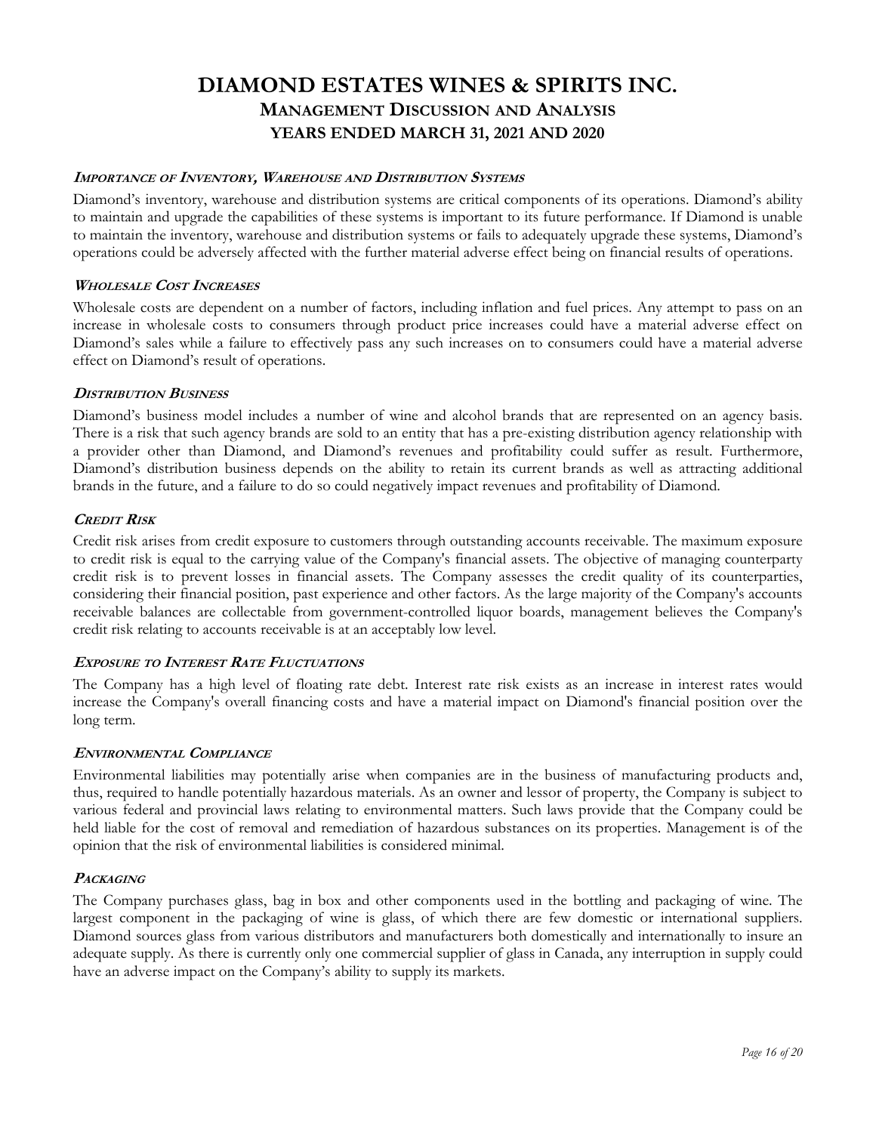### **IMPORTANCE OF INVENTORY, WAREHOUSE AND DISTRIBUTION SYSTEMS**

Diamond's inventory, warehouse and distribution systems are critical components of its operations. Diamond's ability to maintain and upgrade the capabilities of these systems is important to its future performance. If Diamond is unable to maintain the inventory, warehouse and distribution systems or fails to adequately upgrade these systems, Diamond's operations could be adversely affected with the further material adverse effect being on financial results of operations.

### **WHOLESALE COST INCREASES**

Wholesale costs are dependent on a number of factors, including inflation and fuel prices. Any attempt to pass on an increase in wholesale costs to consumers through product price increases could have a material adverse effect on Diamond's sales while a failure to effectively pass any such increases on to consumers could have a material adverse effect on Diamond's result of operations.

### **DISTRIBUTION BUSINESS**

Diamond's business model includes a number of wine and alcohol brands that are represented on an agency basis. There is a risk that such agency brands are sold to an entity that has a pre-existing distribution agency relationship with a provider other than Diamond, and Diamond's revenues and profitability could suffer as result. Furthermore, Diamond's distribution business depends on the ability to retain its current brands as well as attracting additional brands in the future, and a failure to do so could negatively impact revenues and profitability of Diamond.

### **CREDIT RISK**

Credit risk arises from credit exposure to customers through outstanding accounts receivable. The maximum exposure to credit risk is equal to the carrying value of the Company's financial assets. The objective of managing counterparty credit risk is to prevent losses in financial assets. The Company assesses the credit quality of its counterparties, considering their financial position, past experience and other factors. As the large majority of the Company's accounts receivable balances are collectable from government-controlled liquor boards, management believes the Company's credit risk relating to accounts receivable is at an acceptably low level.

#### **EXPOSURE TO INTEREST RATE FLUCTUATIONS**

The Company has a high level of floating rate debt. Interest rate risk exists as an increase in interest rates would increase the Company's overall financing costs and have a material impact on Diamond's financial position over the long term.

#### **ENVIRONMENTAL COMPLIANCE**

Environmental liabilities may potentially arise when companies are in the business of manufacturing products and, thus, required to handle potentially hazardous materials. As an owner and lessor of property, the Company is subject to various federal and provincial laws relating to environmental matters. Such laws provide that the Company could be held liable for the cost of removal and remediation of hazardous substances on its properties. Management is of the opinion that the risk of environmental liabilities is considered minimal.

#### **PACKAGING**

The Company purchases glass, bag in box and other components used in the bottling and packaging of wine. The largest component in the packaging of wine is glass, of which there are few domestic or international suppliers. Diamond sources glass from various distributors and manufacturers both domestically and internationally to insure an adequate supply. As there is currently only one commercial supplier of glass in Canada, any interruption in supply could have an adverse impact on the Company's ability to supply its markets.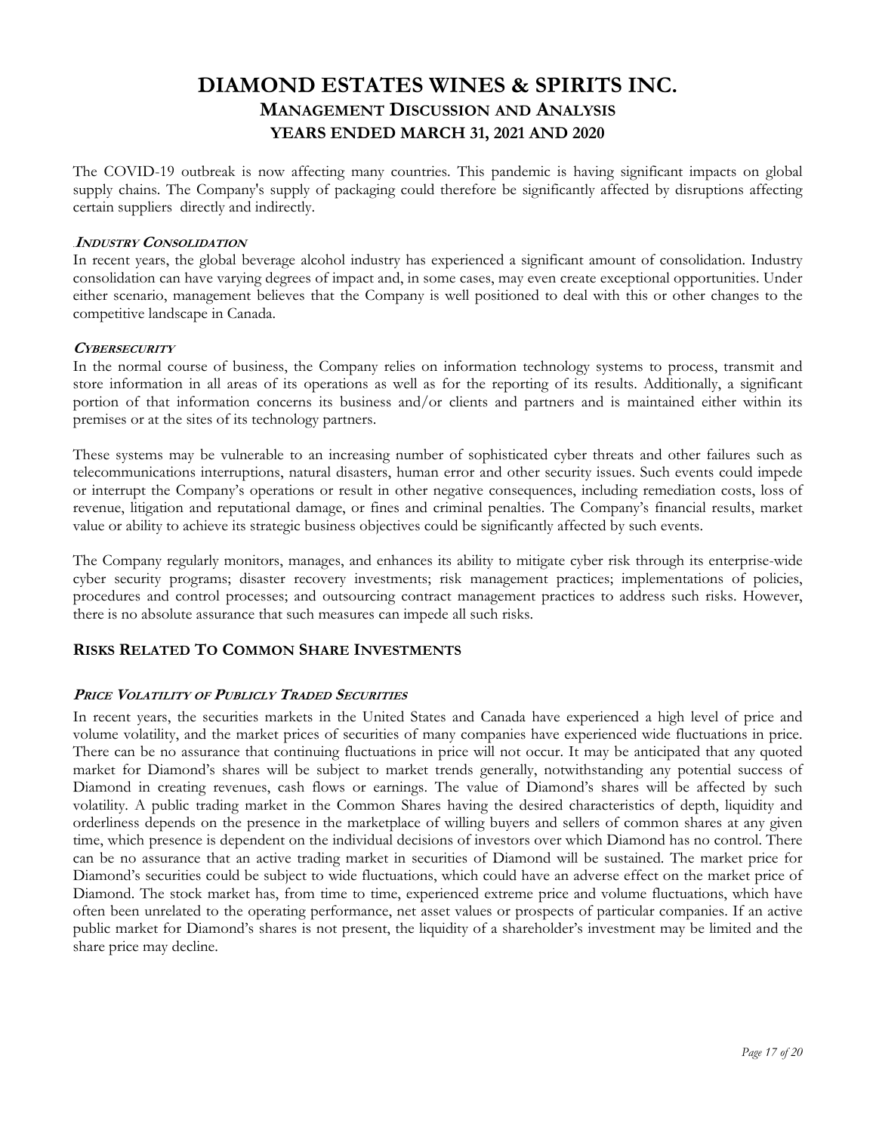The COVID-19 outbreak is now affecting many countries. This pandemic is having significant impacts on global supply chains. The Company's supply of packaging could therefore be significantly affected by disruptions affecting certain suppliers directly and indirectly.

#### .**INDUSTRY CONSOLIDATION**

In recent years, the global beverage alcohol industry has experienced a significant amount of consolidation. Industry consolidation can have varying degrees of impact and, in some cases, may even create exceptional opportunities. Under either scenario, management believes that the Company is well positioned to deal with this or other changes to the competitive landscape in Canada.

#### **CYBERSECURITY**

In the normal course of business, the Company relies on information technology systems to process, transmit and store information in all areas of its operations as well as for the reporting of its results. Additionally, a significant portion of that information concerns its business and/or clients and partners and is maintained either within its premises or at the sites of its technology partners.

These systems may be vulnerable to an increasing number of sophisticated cyber threats and other failures such as telecommunications interruptions, natural disasters, human error and other security issues. Such events could impede or interrupt the Company's operations or result in other negative consequences, including remediation costs, loss of revenue, litigation and reputational damage, or fines and criminal penalties. The Company's financial results, market value or ability to achieve its strategic business objectives could be significantly affected by such events.

The Company regularly monitors, manages, and enhances its ability to mitigate cyber risk through its enterprise-wide cyber security programs; disaster recovery investments; risk management practices; implementations of policies, procedures and control processes; and outsourcing contract management practices to address such risks. However, there is no absolute assurance that such measures can impede all such risks.

## **RISKS RELATED TO COMMON SHARE INVESTMENTS**

#### **PRICE VOLATILITY OF PUBLICLY TRADED SECURITIES**

In recent years, the securities markets in the United States and Canada have experienced a high level of price and volume volatility, and the market prices of securities of many companies have experienced wide fluctuations in price. There can be no assurance that continuing fluctuations in price will not occur. It may be anticipated that any quoted market for Diamond's shares will be subject to market trends generally, notwithstanding any potential success of Diamond in creating revenues, cash flows or earnings. The value of Diamond's shares will be affected by such volatility. A public trading market in the Common Shares having the desired characteristics of depth, liquidity and orderliness depends on the presence in the marketplace of willing buyers and sellers of common shares at any given time, which presence is dependent on the individual decisions of investors over which Diamond has no control. There can be no assurance that an active trading market in securities of Diamond will be sustained. The market price for Diamond's securities could be subject to wide fluctuations, which could have an adverse effect on the market price of Diamond. The stock market has, from time to time, experienced extreme price and volume fluctuations, which have often been unrelated to the operating performance, net asset values or prospects of particular companies. If an active public market for Diamond's shares is not present, the liquidity of a shareholder's investment may be limited and the share price may decline.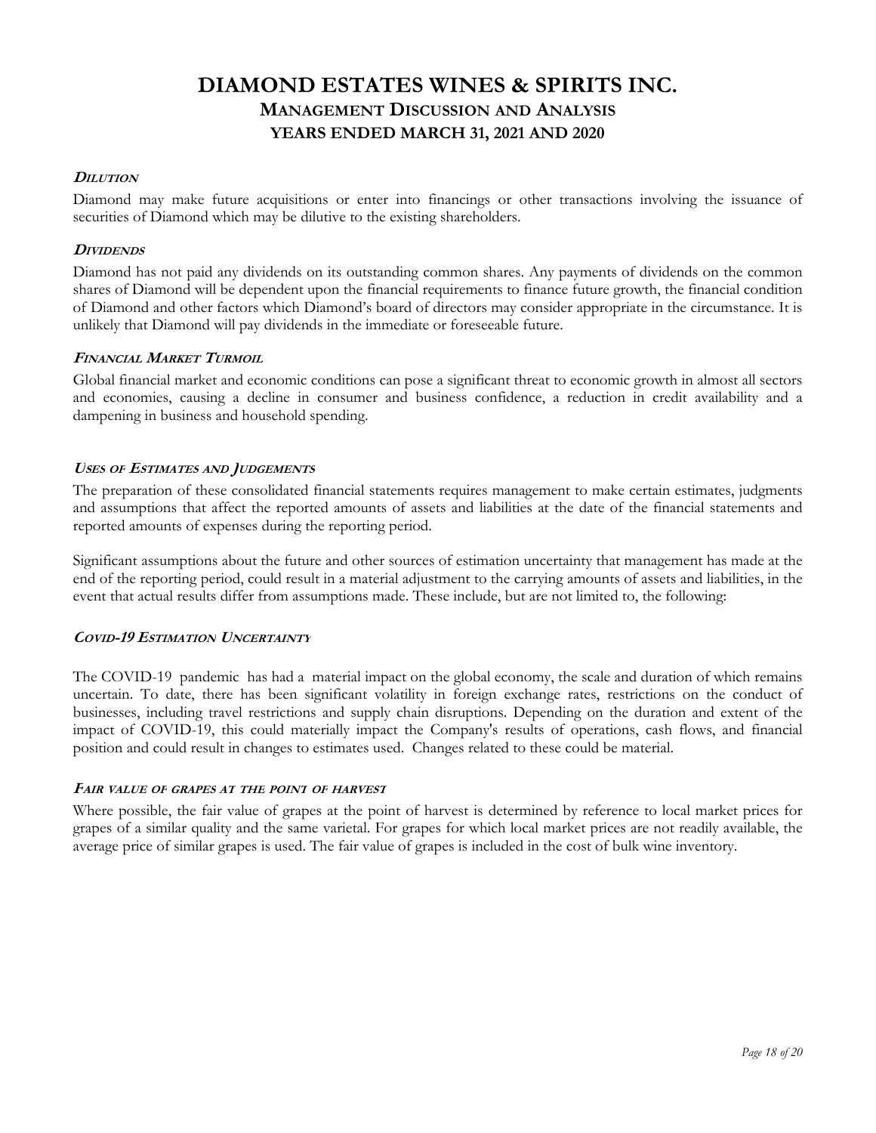### **DILUTION**

Diamond may make future acquisitions or enter into financings or other transactions involving the issuance of securities of Diamond which may be dilutive to the existing shareholders.

### **DIVIDENDS**

Diamond has not paid any dividends on its outstanding common shares. Any payments of dividends on the common shares of Diamond will be dependent upon the financial requirements to finance future growth, the financial condition of Diamond and other factors which Diamond's board of directors may consider appropriate in the circumstance. It is unlikely that Diamond will pay dividends in the immediate or foreseeable future.

### **FINANCIAL MARKET TURMOIL**

Global financial market and economic conditions can pose a significant threat to economic growth in almost all sectors and economies, causing a decline in consumer and business confidence, a reduction in credit availability and a dampening in business and household spending.

### **USES OF ESTIMATES AND JUDGEMENTS**

The preparation of these consolidated financial statements requires management to make certain estimates, judgments and assumptions that affect the reported amounts of assets and liabilities at the date of the financial statements and reported amounts of expenses during the reporting period.

Significant assumptions about the future and other sources of estimation uncertainty that management has made at the end of the reporting period, could result in a material adjustment to the carrying amounts of assets and liabilities, in the event that actual results differ from assumptions made. These include, but are not limited to, the following:

## **COVID-19 ESTIMATION UNCERTAINTY**

The COVID-19 pandemic has had a material impact on the global economy, the scale and duration of which remains uncertain. To date, there has been significant volatility in foreign exchange rates, restrictions on the conduct of businesses, including travel restrictions and supply chain disruptions. Depending on the duration and extent of the impact of COVID-19, this could materially impact the Company's results of operations, cash flows, and financial position and could result in changes to estimates used. Changes related to these could be material.

#### **FAIR VALUE OF GRAPES AT THE POINT OF HARVEST**

Where possible, the fair value of grapes at the point of harvest is determined by reference to local market prices for grapes of a similar quality and the same varietal. For grapes for which local market prices are not readily available, the average price of similar grapes is used. The fair value of grapes is included in the cost of bulk wine inventory.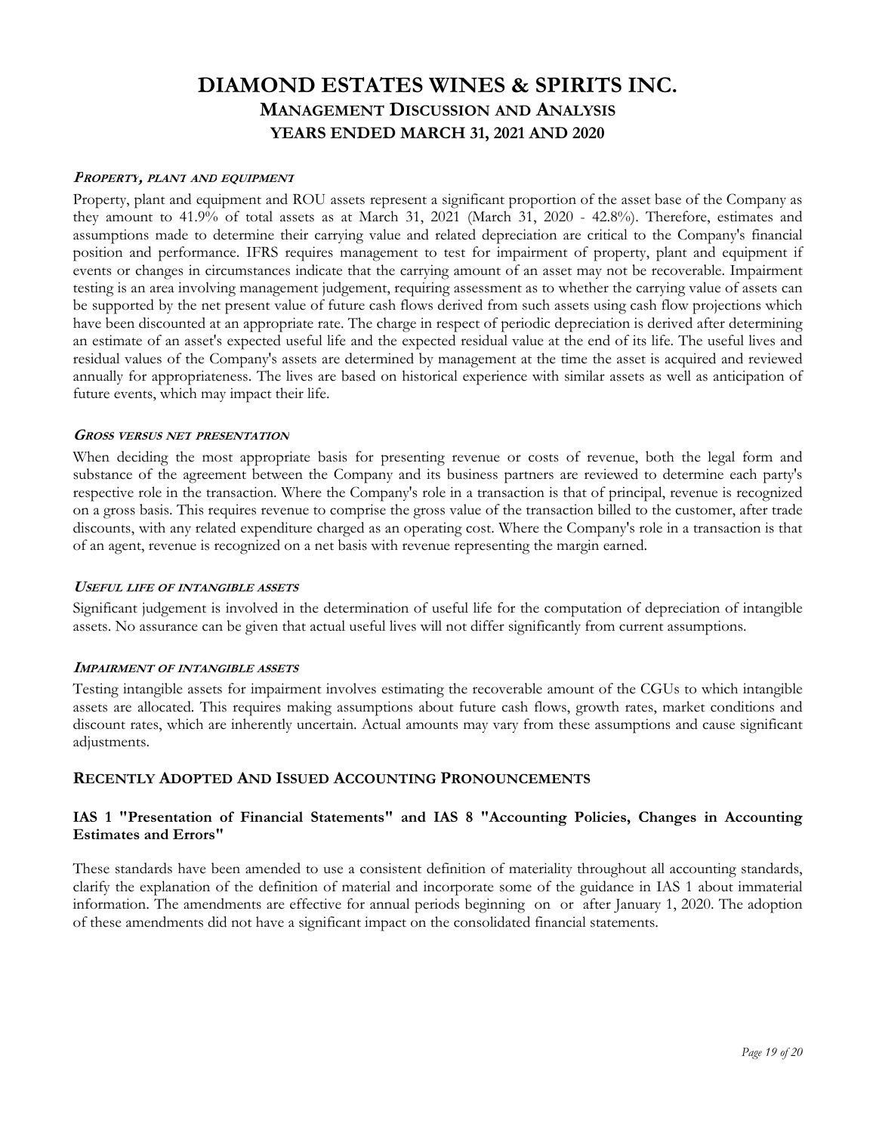#### **PROPERTY, PLANT AND EQUIPMENT**

Property, plant and equipment and ROU assets represent a significant proportion of the asset base of the Company as they amount to 41.9% of total assets as at March 31, 2021 (March 31, 2020 - 42.8%). Therefore, estimates and assumptions made to determine their carrying value and related depreciation are critical to the Company's financial position and performance. IFRS requires management to test for impairment of property, plant and equipment if events or changes in circumstances indicate that the carrying amount of an asset may not be recoverable. Impairment testing is an area involving management judgement, requiring assessment as to whether the carrying value of assets can be supported by the net present value of future cash flows derived from such assets using cash flow projections which have been discounted at an appropriate rate. The charge in respect of periodic depreciation is derived after determining an estimate of an asset's expected useful life and the expected residual value at the end of its life. The useful lives and residual values of the Company's assets are determined by management at the time the asset is acquired and reviewed annually for appropriateness. The lives are based on historical experience with similar assets as well as anticipation of future events, which may impact their life.

#### **GROSS VERSUS NET PRESENTATION**

When deciding the most appropriate basis for presenting revenue or costs of revenue, both the legal form and substance of the agreement between the Company and its business partners are reviewed to determine each party's respective role in the transaction. Where the Company's role in a transaction is that of principal, revenue is recognized on a gross basis. This requires revenue to comprise the gross value of the transaction billed to the customer, after trade discounts, with any related expenditure charged as an operating cost. Where the Company's role in a transaction is that of an agent, revenue is recognized on a net basis with revenue representing the margin earned.

#### **USEFUL LIFE OF INTANGIBLE ASSETS**

Significant judgement is involved in the determination of useful life for the computation of depreciation of intangible assets. No assurance can be given that actual useful lives will not differ significantly from current assumptions.

#### **IMPAIRMENT OF INTANGIBLE ASSETS**

Testing intangible assets for impairment involves estimating the recoverable amount of the CGUs to which intangible assets are allocated. This requires making assumptions about future cash flows, growth rates, market conditions and discount rates, which are inherently uncertain. Actual amounts may vary from these assumptions and cause significant adjustments.

#### **RECENTLY ADOPTED AND ISSUED ACCOUNTING PRONOUNCEMENTS**

### **IAS 1 "Presentation of Financial Statements" and IAS 8 "Accounting Policies, Changes in Accounting Estimates and Errors"**

These standards have been amended to use a consistent definition of materiality throughout all accounting standards, clarify the explanation of the definition of material and incorporate some of the guidance in IAS 1 about immaterial information. The amendments are effective for annual periods beginning on or after January 1, 2020. The adoption of these amendments did not have a significant impact on the consolidated financial statements.